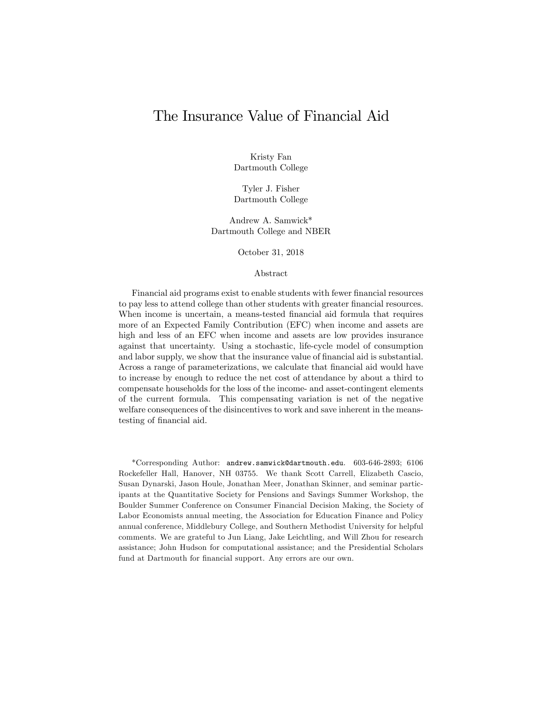## The Insurance Value of Financial Aid

Kristy Fan Dartmouth College

Tyler J. Fisher Dartmouth College

Andrew A. Samwick\* Dartmouth College and NBER

October 31, 2018

#### Abstract

Financial aid programs exist to enable students with fewer financial resources to pay less to attend college than other students with greater financial resources. When income is uncertain, a means-tested financial aid formula that requires more of an Expected Family Contribution (EFC) when income and assets are high and less of an EFC when income and assets are low provides insurance against that uncertainty. Using a stochastic, life-cycle model of consumption and labor supply, we show that the insurance value of financial aid is substantial. Across a range of parameterizations, we calculate that Önancial aid would have to increase by enough to reduce the net cost of attendance by about a third to compensate households for the loss of the income- and asset-contingent elements of the current formula. This compensating variation is net of the negative welfare consequences of the disincentives to work and save inherent in the meanstesting of financial aid.

\*Corresponding Author: andrew.samwick@dartmouth.edu. 603-646-2893; 6106 Rockefeller Hall, Hanover, NH 03755. We thank Scott Carrell, Elizabeth Cascio, Susan Dynarski, Jason Houle, Jonathan Meer, Jonathan Skinner, and seminar participants at the Quantitative Society for Pensions and Savings Summer Workshop, the Boulder Summer Conference on Consumer Financial Decision Making, the Society of Labor Economists annual meeting, the Association for Education Finance and Policy annual conference, Middlebury College, and Southern Methodist University for helpful comments. We are grateful to Jun Liang, Jake Leichtling, and Will Zhou for research assistance; John Hudson for computational assistance; and the Presidential Scholars fund at Dartmouth for financial support. Any errors are our own.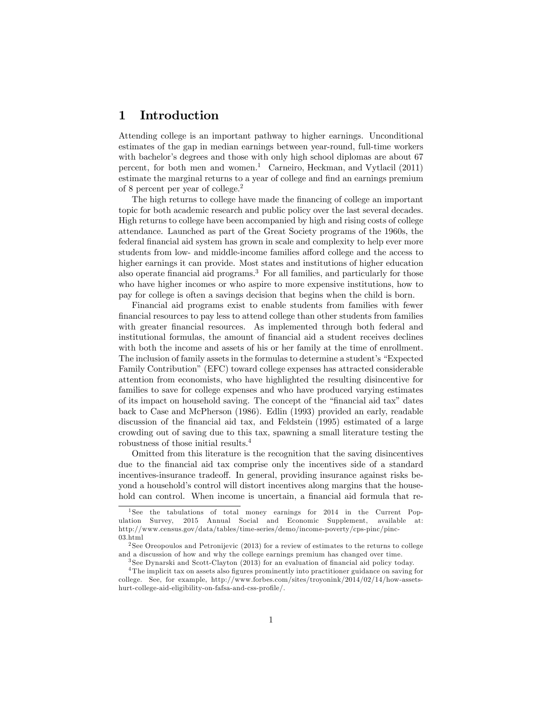### 1 Introduction

Attending college is an important pathway to higher earnings. Unconditional estimates of the gap in median earnings between year-round, full-time workers with bachelor's degrees and those with only high school diplomas are about 67 percent, for both men and women.<sup>1</sup> Carneiro, Heckman, and Vytlacil  $(2011)$ estimate the marginal returns to a year of college and find an earnings premium of 8 percent per year of college.<sup>2</sup>

The high returns to college have made the financing of college an important topic for both academic research and public policy over the last several decades. High returns to college have been accompanied by high and rising costs of college attendance. Launched as part of the Great Society programs of the 1960s, the federal financial aid system has grown in scale and complexity to help ever more students from low- and middle-income families afford college and the access to higher earnings it can provide. Most states and institutions of higher education also operate financial aid programs.<sup>3</sup> For all families, and particularly for those who have higher incomes or who aspire to more expensive institutions, how to pay for college is often a savings decision that begins when the child is born.

Financial aid programs exist to enable students from families with fewer Önancial resources to pay less to attend college than other students from families with greater financial resources. As implemented through both federal and institutional formulas, the amount of financial aid a student receives declines with both the income and assets of his or her family at the time of enrollment. The inclusion of family assets in the formulas to determine a student's "Expected" Family Contribution" (EFC) toward college expenses has attracted considerable attention from economists, who have highlighted the resulting disincentive for families to save for college expenses and who have produced varying estimates of its impact on household saving. The concept of the "financial aid tax" dates back to Case and McPherson (1986). Edlin (1993) provided an early, readable discussion of the financial aid tax, and Feldstein (1995) estimated of a large crowding out of saving due to this tax, spawning a small literature testing the robustness of those initial results.<sup>4</sup>

Omitted from this literature is the recognition that the saving disincentives due to the Önancial aid tax comprise only the incentives side of a standard incentives-insurance tradeoff. In general, providing insurance against risks beyond a household's control will distort incentives along margins that the household can control. When income is uncertain, a financial aid formula that re-

<sup>&</sup>lt;sup>1</sup>See the tabulations of total money earnings for 2014 in the Current Population Survey, 2015 Annual Social and Economic Supplement, available at: http://www.census.gov/data/tables/time-series/demo/income-poverty/cps-pinc/pinc-03.html

<sup>2</sup> See Oreopoulos and Petronijevic (2013) for a review of estimates to the returns to college and a discussion of how and why the college earnings premium has changed over time.

<sup>&</sup>lt;sup>3</sup> See Dynarski and Scott-Clayton (2013) for an evaluation of financial aid policy today.

<sup>&</sup>lt;sup>4</sup>The implicit tax on assets also figures prominently into practitioner guidance on saving for college. See, for example, http://www.forbes.com/sites/troyonink/2014/02/14/how-assetshurt-college-aid-eligibility-on-fafsa-and-css-profile/.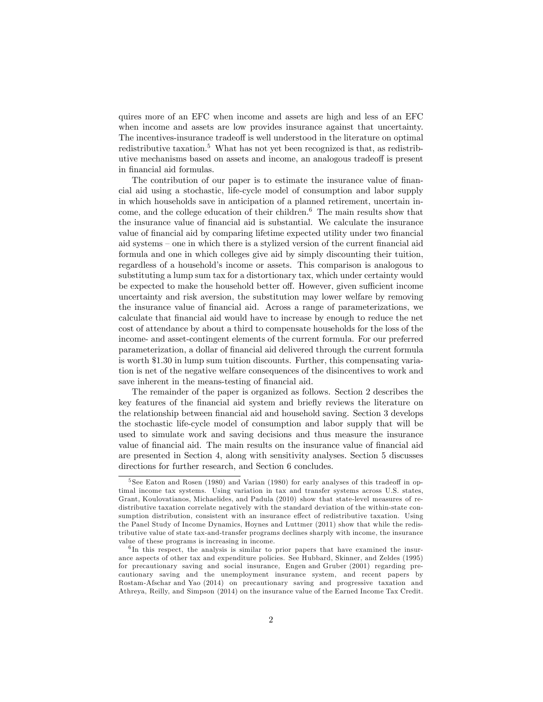quires more of an EFC when income and assets are high and less of an EFC when income and assets are low provides insurance against that uncertainty. The incentives-insurance tradeoff is well understood in the literature on optimal redistributive taxation.<sup>5</sup> What has not yet been recognized is that, as redistributive mechanisms based on assets and income, an analogous tradeoff is present in financial aid formulas.

The contribution of our paper is to estimate the insurance value of financial aid using a stochastic, life-cycle model of consumption and labor supply in which households save in anticipation of a planned retirement, uncertain income, and the college education of their children.<sup>6</sup> The main results show that the insurance value of Önancial aid is substantial. We calculate the insurance value of financial aid by comparing lifetime expected utility under two financial aid systems – one in which there is a stylized version of the current financial aid formula and one in which colleges give aid by simply discounting their tuition, regardless of a householdís income or assets. This comparison is analogous to substituting a lump sum tax for a distortionary tax, which under certainty would be expected to make the household better off. However, given sufficient income uncertainty and risk aversion, the substitution may lower welfare by removing the insurance value of financial aid. Across a range of parameterizations, we calculate that Önancial aid would have to increase by enough to reduce the net cost of attendance by about a third to compensate households for the loss of the income- and asset-contingent elements of the current formula. For our preferred parameterization, a dollar of financial aid delivered through the current formula is worth \$1:30 in lump sum tuition discounts. Further, this compensating variation is net of the negative welfare consequences of the disincentives to work and save inherent in the means-testing of financial aid.

The remainder of the paper is organized as follows. Section 2 describes the key features of the financial aid system and briefly reviews the literature on the relationship between financial aid and household saving. Section 3 develops the stochastic life-cycle model of consumption and labor supply that will be used to simulate work and saving decisions and thus measure the insurance value of financial aid. The main results on the insurance value of financial aid are presented in Section 4, along with sensitivity analyses. Section 5 discusses directions for further research, and Section 6 concludes.

<sup>&</sup>lt;sup>5</sup> See Eaton and Rosen (1980) and Varian (1980) for early analyses of this tradeoff in optimal income tax systems. Using variation in tax and transfer systems across U.S. states, Grant, Koulovatianos, Michaelides, and Padula (2010) show that state-level measures of redistributive taxation correlate negatively with the standard deviation of the within-state consumption distribution, consistent with an insurance effect of redistributive taxation. Using the Panel Study of Income Dynamics, Hoynes and Luttmer (2011) show that while the redistributive value of state tax-and-transfer programs declines sharply with income, the insurance value of these programs is increasing in income.

<sup>&</sup>lt;sup>6</sup>In this respect, the analysis is similar to prior papers that have examined the insurance aspects of other tax and expenditure policies. See Hubbard, Skinner, and Zeldes (1995) for precautionary saving and social insurance, Engen and Gruber (2001) regarding precautionary saving and the unemployment insurance system, and recent papers by Rostam-Afschar and Yao (2014) on precautionary saving and progressive taxation and Athreya, Reilly, and Simpson (2014) on the insurance value of the Earned Income Tax Credit.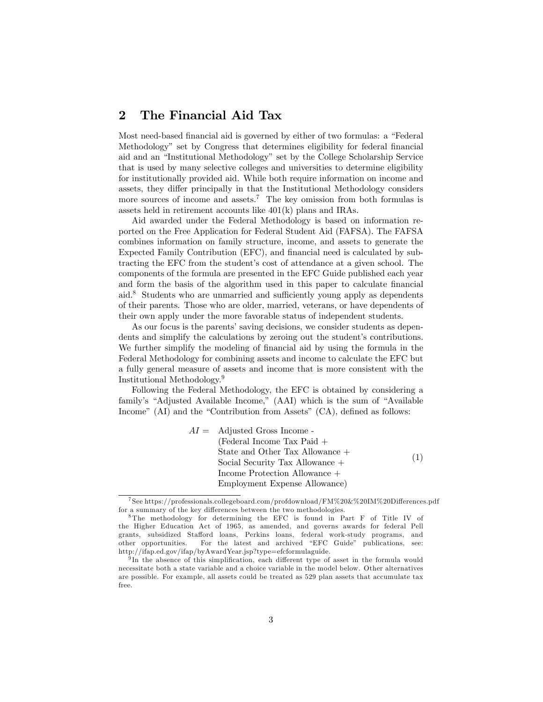### 2 The Financial Aid Tax

Most need-based financial aid is governed by either of two formulas: a "Federal" Methodology" set by Congress that determines eligibility for federal financial aid and an "Institutional Methodology" set by the College Scholarship Service that is used by many selective colleges and universities to determine eligibility for institutionally provided aid. While both require information on income and assets, they differ principally in that the Institutional Methodology considers more sources of income and assets.<sup>7</sup> The key omission from both formulas is assets held in retirement accounts like 401(k) plans and IRAs.

Aid awarded under the Federal Methodology is based on information reported on the Free Application for Federal Student Aid (FAFSA). The FAFSA combines information on family structure, income, and assets to generate the Expected Family Contribution (EFC), and financial need is calculated by subtracting the EFC from the student's cost of attendance at a given school. The components of the formula are presented in the EFC Guide published each year and form the basis of the algorithm used in this paper to calculate financial aid.<sup>8</sup> Students who are unmarried and sufficiently young apply as dependents of their parents. Those who are older, married, veterans, or have dependents of their own apply under the more favorable status of independent students.

As our focus is the parents' saving decisions, we consider students as dependents and simplify the calculations by zeroing out the student's contributions. We further simplify the modeling of financial aid by using the formula in the Federal Methodology for combining assets and income to calculate the EFC but a fully general measure of assets and income that is more consistent with the Institutional Methodology.<sup>9</sup>

Following the Federal Methodology, the EFC is obtained by considering a family's "Adjusted Available Income," (AAI) which is the sum of "Available Income" (AI) and the "Contribution from Assets"  $(CA)$ , defined as follows:

> $AI =$  Adjusted Gross Income -(Federal Income Tax Paid + State and Other Tax Allowance + Social Security Tax Allowance + Income Protection Allowance + Employment Expense Allowance) (1)

<sup>&</sup>lt;sup>7</sup> See https://professionals.collegeboard.com/profdownload/FM%20&%20IM%20Differences.pdf for a summary of the key differences between the two methodologies.

<sup>8</sup> The methodology for determining the EFC is found in Part F of Title IV of the Higher Education Act of 1965, as amended, and governs awards for federal Pell grants, subsidized Sta§ord loans, Perkins loans, federal work-study programs, and other opportunities. For the latest and archived "EFC Guide" publications, see: http://ifap.ed.gov/ifap/byAwardYear.jsp?type=efcformulaguide.

<sup>&</sup>lt;sup>9</sup>In the absence of this simplification, each different type of asset in the formula would necessitate both a state variable and a choice variable in the model below. Other alternatives are possible. For example, all assets could be treated as 529 plan assets that accumulate tax free.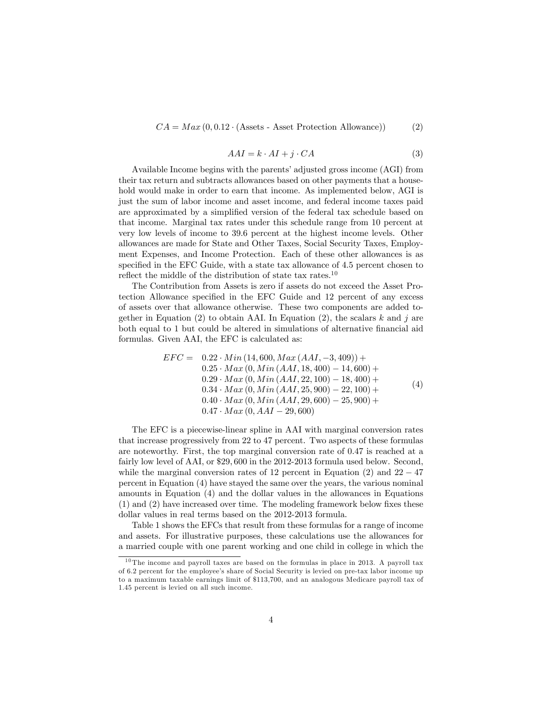$CA = Max(0, 0.12 \cdot (Assets - Asset Protection Allowane))$  (2)

$$
AAI = k \cdot AI + j \cdot CA \tag{3}
$$

Available Income begins with the parents' adjusted gross income (AGI) from their tax return and subtracts allowances based on other payments that a household would make in order to earn that income. As implemented below, AGI is just the sum of labor income and asset income, and federal income taxes paid are approximated by a simplified version of the federal tax schedule based on that income. Marginal tax rates under this schedule range from 10 percent at very low levels of income to 39:6 percent at the highest income levels. Other allowances are made for State and Other Taxes, Social Security Taxes, Employment Expenses, and Income Protection. Each of these other allowances is as specified in the EFC Guide, with a state tax allowance of 4.5 percent chosen to reflect the middle of the distribution of state tax rates.<sup>10</sup>

The Contribution from Assets is zero if assets do not exceed the Asset Protection Allowance specified in the EFC Guide and 12 percent of any excess of assets over that allowance otherwise. These two components are added together in Equation  $(2)$  to obtain AAI. In Equation  $(2)$ , the scalars k and j are both equal to 1 but could be altered in simulations of alternative financial aid formulas. Given AAI, the EFC is calculated as:

$$
EFC = 0.22 \cdot Min (14,600, Max (AAI, -3,409)) +\n0.25 \cdot Max (0, Min (AAI, 18,400) - 14,600) +\n0.29 \cdot Max (0, Min (AAI, 22,100) - 18,400) +\n0.34 \cdot Max (0, Min (AAI, 25,900) - 22,100) +\n0.40 \cdot Max (0, Min (AAI, 29,600) - 25,900) +\n0.47 \cdot Max (0, AAI - 29,600)
$$

The EFC is a piecewise-linear spline in AAI with marginal conversion rates that increase progressively from 22 to 47 percent. Two aspects of these formulas are noteworthy. First, the top marginal conversion rate of 0:47 is reached at a fairly low level of AAI, or \$29,600 in the 2012-2013 formula used below. Second, while the marginal conversion rates of 12 percent in Equation (2) and  $22 - 47$ percent in Equation (4) have stayed the same over the years, the various nominal amounts in Equation (4) and the dollar values in the allowances in Equations  $(1)$  and  $(2)$  have increased over time. The modeling framework below fixes these dollar values in real terms based on the 2012-2013 formula.

Table 1 shows the EFCs that result from these formulas for a range of income and assets. For illustrative purposes, these calculations use the allowances for a married couple with one parent working and one child in college in which the

 $10$  The income and payroll taxes are based on the formulas in place in 2013. A payroll tax of 6.2 percent for the employee's share of Social Security is levied on pre-tax labor income up to a maximum taxable earnings limit of \$113,700, and an analogous Medicare payroll tax of 1.45 percent is levied on all such income.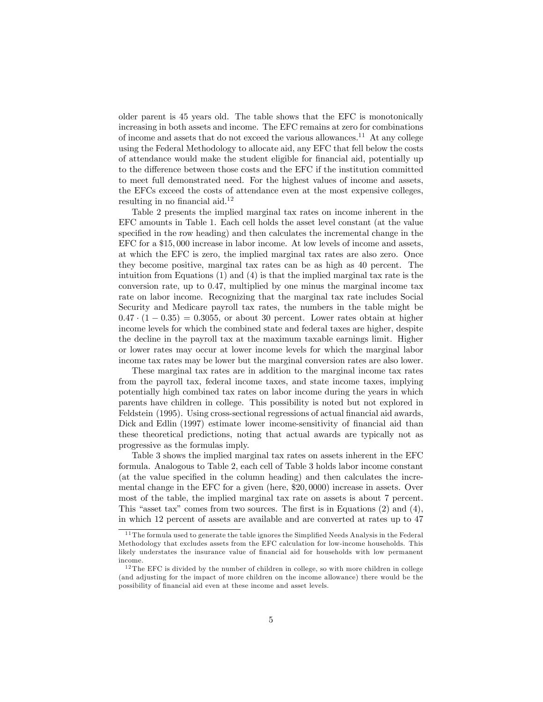older parent is 45 years old. The table shows that the EFC is monotonically increasing in both assets and income. The EFC remains at zero for combinations of income and assets that do not exceed the various allowances.<sup>11</sup> At any college using the Federal Methodology to allocate aid, any EFC that fell below the costs of attendance would make the student eligible for Önancial aid, potentially up to the difference between those costs and the EFC if the institution committed to meet full demonstrated need. For the highest values of income and assets, the EFCs exceed the costs of attendance even at the most expensive colleges, resulting in no financial aid. $12$ 

Table 2 presents the implied marginal tax rates on income inherent in the EFC amounts in Table 1. Each cell holds the asset level constant (at the value specified in the row heading) and then calculates the incremental change in the EFC for a \$15; 000 increase in labor income. At low levels of income and assets, at which the EFC is zero, the implied marginal tax rates are also zero. Once they become positive, marginal tax rates can be as high as 40 percent. The intuition from Equations (1) and (4) is that the implied marginal tax rate is the conversion rate, up to 0:47, multiplied by one minus the marginal income tax rate on labor income. Recognizing that the marginal tax rate includes Social Security and Medicare payroll tax rates, the numbers in the table might be  $0.47 \cdot (1 - 0.35) = 0.3055$ , or about 30 percent. Lower rates obtain at higher income levels for which the combined state and federal taxes are higher, despite the decline in the payroll tax at the maximum taxable earnings limit. Higher or lower rates may occur at lower income levels for which the marginal labor income tax rates may be lower but the marginal conversion rates are also lower.

These marginal tax rates are in addition to the marginal income tax rates from the payroll tax, federal income taxes, and state income taxes, implying potentially high combined tax rates on labor income during the years in which parents have children in college. This possibility is noted but not explored in Feldstein (1995). Using cross-sectional regressions of actual financial aid awards, Dick and Edlin (1997) estimate lower income-sensitivity of financial aid than these theoretical predictions, noting that actual awards are typically not as progressive as the formulas imply.

Table 3 shows the implied marginal tax rates on assets inherent in the EFC formula. Analogous to Table 2, each cell of Table 3 holds labor income constant (at the value specified in the column heading) and then calculates the incremental change in the EFC for a given (here, \$20; 0000) increase in assets. Over most of the table, the implied marginal tax rate on assets is about 7 percent. This "asset tax" comes from two sources. The first is in Equations  $(2)$  and  $(4)$ , in which 12 percent of assets are available and are converted at rates up to 47

 $11$  The formula used to generate the table ignores the Simplified Needs Analysis in the Federal Methodology that excludes assets from the EFC calculation for low-income households. This likely understates the insurance value of financial aid for households with low permanent income.

 $12$  The EFC is divided by the number of children in college, so with more children in college (and adjusting for the impact of more children on the income allowance) there would be the possibility of financial aid even at these income and asset levels.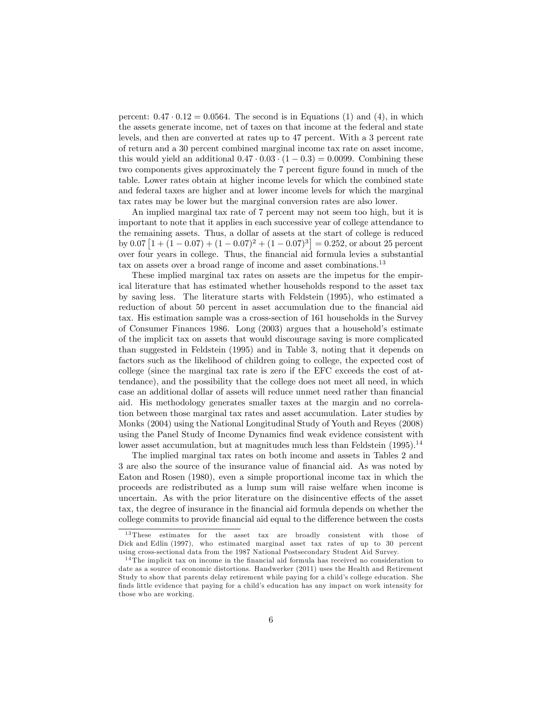percent:  $0.47 \cdot 0.12 = 0.0564$ . The second is in Equations (1) and (4), in which the assets generate income, net of taxes on that income at the federal and state levels, and then are converted at rates up to 47 percent. With a 3 percent rate of return and a 30 percent combined marginal income tax rate on asset income, this would yield an additional  $0.47 \cdot 0.03 \cdot (1 - 0.3) = 0.0099$ . Combining these two components gives approximately the 7 percent figure found in much of the table. Lower rates obtain at higher income levels for which the combined state and federal taxes are higher and at lower income levels for which the marginal tax rates may be lower but the marginal conversion rates are also lower.

An implied marginal tax rate of 7 percent may not seem too high, but it is important to note that it applies in each successive year of college attendance to the remaining assets. Thus, a dollar of assets at the start of college is reduced by 0.07  $\left[1 + (1 - 0.07) + (1 - 0.07)^2 + (1 - 0.07)^3\right] = 0.252$ , or about 25 percent over four years in college. Thus, the Önancial aid formula levies a substantial tax on assets over a broad range of income and asset combinations.<sup>13</sup>

These implied marginal tax rates on assets are the impetus for the empirical literature that has estimated whether households respond to the asset tax by saving less. The literature starts with Feldstein (1995), who estimated a reduction of about 50 percent in asset accumulation due to the financial aid tax. His estimation sample was a cross-section of 161 households in the Survey of Consumer Finances 1986. Long  $(2003)$  argues that a household's estimate of the implicit tax on assets that would discourage saving is more complicated than suggested in Feldstein (1995) and in Table 3, noting that it depends on factors such as the likelihood of children going to college, the expected cost of college (since the marginal tax rate is zero if the EFC exceeds the cost of attendance), and the possibility that the college does not meet all need, in which case an additional dollar of assets will reduce unmet need rather than financial aid. His methodology generates smaller taxes at the margin and no correlation between those marginal tax rates and asset accumulation. Later studies by Monks (2004) using the National Longitudinal Study of Youth and Reyes (2008) using the Panel Study of Income Dynamics find weak evidence consistent with lower asset accumulation, but at magnitudes much less than Feldstein  $(1995)$ .<sup>14</sup>

The implied marginal tax rates on both income and assets in Tables 2 and 3 are also the source of the insurance value of Önancial aid. As was noted by Eaton and Rosen (1980), even a simple proportional income tax in which the proceeds are redistributed as a lump sum will raise welfare when income is uncertain. As with the prior literature on the disincentive effects of the asset tax, the degree of insurance in the financial aid formula depends on whether the college commits to provide financial aid equal to the difference between the costs

<sup>13</sup> These estimates for the asset tax are broadly consistent with those of Dick and Edlin (1997), who estimated marginal asset tax rates of up to 30 percent using cross-sectional data from the 1987 National Postsecondary Student Aid Survey.

 $14$ The implicit tax on income in the financial aid formula has received no consideration to date as a source of economic distortions. Handwerker (2011) uses the Health and Retirement Study to show that parents delay retirement while paying for a child's college education. She finds little evidence that paying for a child's education has any impact on work intensity for those who are working.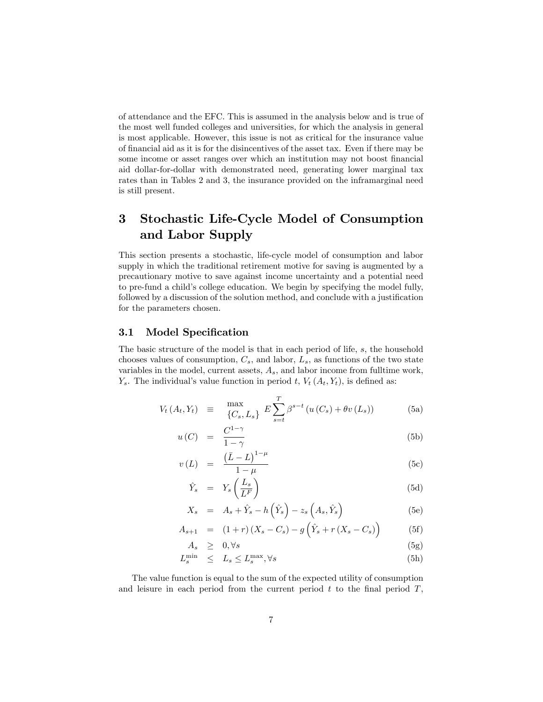of attendance and the EFC. This is assumed in the analysis below and is true of the most well funded colleges and universities, for which the analysis in general is most applicable. However, this issue is not as critical for the insurance value of Önancial aid as it is for the disincentives of the asset tax. Even if there may be some income or asset ranges over which an institution may not boost financial aid dollar-for-dollar with demonstrated need, generating lower marginal tax rates than in Tables 2 and 3, the insurance provided on the inframarginal need is still present.

# 3 Stochastic Life-Cycle Model of Consumption and Labor Supply

This section presents a stochastic, life-cycle model of consumption and labor supply in which the traditional retirement motive for saving is augmented by a precautionary motive to save against income uncertainty and a potential need to pre-fund a child's college education. We begin by specifying the model fully, followed by a discussion of the solution method, and conclude with a justification for the parameters chosen.

#### 3.1 Model Specification

The basic structure of the model is that in each period of life, s, the household chooses values of consumption,  $C_s$ , and labor,  $L_s$ , as functions of the two state variables in the model, current assets,  $A_s$ , and labor income from fulltime work,  $Y_s$ . The individual's value function in period t,  $V_t(A_t, Y_t)$ , is defined as:

$$
V_t(A_t, Y_t) \equiv \max_{\{C_s, L_s\}} E \sum_{s=t}^T \beta^{s-t} \left( u(C_s) + \theta v(L_s) \right) \tag{5a}
$$

$$
u(C) = \frac{C^{1-\gamma}}{1-\gamma} \tag{5b}
$$

$$
v(L) = \frac{(\bar{L} - L)^{1-\mu}}{1-\mu} \tag{5c}
$$

$$
\hat{Y}_s = Y_s \left(\frac{L_s}{L^F}\right) \tag{5d}
$$

$$
X_s = A_s + \hat{Y}_s - h\left(\hat{Y}_s\right) - z_s\left(A_s, \hat{Y}_s\right) \tag{5e}
$$

$$
A_{s+1} = (1+r)(X_s - C_s) - g(\hat{Y}_s + r(X_s - C_s))
$$
 (5f)

$$
A_s \geq 0, \forall s \tag{5g}
$$

$$
L_s^{\min} \le L_s \le L_s^{\max}, \forall s \tag{5h}
$$

The value function is equal to the sum of the expected utility of consumption and leisure in each period from the current period  $t$  to the final period  $T$ ,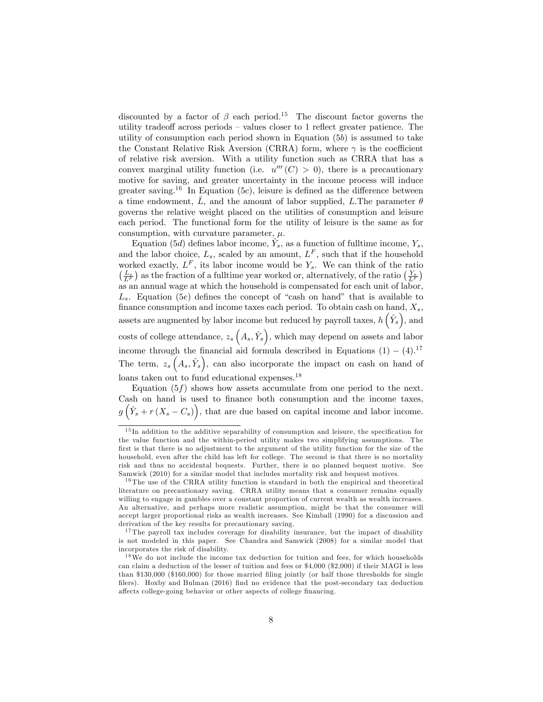discounted by a factor of  $\beta$  each period.<sup>15</sup> The discount factor governs the utility tradeoff across periods  $-$  values closer to 1 reflect greater patience. The utility of consumption each period shown in Equation (5b) is assumed to take the Constant Relative Risk Aversion (CRRA) form, where  $\gamma$  is the coefficient of relative risk aversion. With a utility function such as CRRA that has a convex marginal utility function (i.e.  $u'''(C) > 0$ ), there is a precautionary motive for saving, and greater uncertainty in the income process will induce greater saving.<sup>16</sup> In Equation (5c), leisure is defined as the difference between a time endowment,  $\overline{L}$ , and the amount of labor supplied, L.The parameter  $\theta$ governs the relative weight placed on the utilities of consumption and leisure each period. The functional form for the utility of leisure is the same as for consumption, with curvature parameter,  $\mu$ .

Equation (5*d*) defines labor income,  $\hat{Y}_s$ , as a function of fulltime income,  $Y_s$ , and the labor choice,  $L_s$ , scaled by an amount,  $L^F$ , such that if the household worked exactly,  $L^F$ , its labor income would be  $Y_s$ . We can think of the ratio  $\left(\frac{L_s}{L^F}\right)$  as the fraction of a fulltime year worked or, alternatively, of the ratio  $\left(\frac{Y_s}{L^F}\right)$ as an annual wage at which the household is compensated for each unit of labor,  $L<sub>s</sub>$ . Equation (5e) defines the concept of "cash on hand" that is available to finance consumption and income taxes each period. To obtain cash on hand,  $X_s$ , assets are augmented by labor income but reduced by payroll taxes,  $h\left(\hat{Y}_s\right)$ , and costs of college attendance,  $z_s\left(A_s, \hat{Y}_s\right)$ , which may depend on assets and labor income through the financial aid formula described in Equations  $(1) - (4)^{17}$ The term,  $z_s(A_s, \hat{Y}_s)$ , can also incorporate the impact on cash on hand of loans taken out to fund educational expenses.<sup>18</sup>

Equation  $(5f)$  shows how assets accumulate from one period to the next. Cash on hand is used to finance both consumption and the income taxes,  $g\left(\hat{Y}_s + r\left(X_s - C_s\right)\right)$ , that are due based on capital income and labor income.

 $15$  In addition to the additive separability of consumption and leisure, the specification for the value function and the within-period utility makes two simplifying assumptions. The first is that there is no adjustment to the argument of the utility function for the size of the household, even after the child has left for college. The second is that there is no mortality risk and thus no accidental bequests. Further, there is no planned bequest motive. See Samwick (2010) for a similar model that includes mortality risk and bequest motives.

<sup>&</sup>lt;sup>16</sup> The use of the CRRA utility function is standard in both the empirical and theoretical literature on precautionary saving. CRRA utility means that a consumer remains equally willing to engage in gambles over a constant proportion of current wealth as wealth increases. An alternative, and perhaps more realistic assumption, might be that the consumer will accept larger proportional risks as wealth increases. See Kimball (1990) for a discussion and derivation of the key results for precautionary saving.

<sup>&</sup>lt;sup>17</sup> The payroll tax includes coverage for disability insurance, but the impact of disability is not modeled in this paper. See Chandra and Samwick (2008) for a similar model that incorporates the risk of disability.

<sup>&</sup>lt;sup>18</sup>We do not include the income tax deduction for tuition and fees, for which households can claim a deduction of the lesser of tuition and fees or \$4,000 (\$2,000) if their MAGI is less than \$130,000 (\$160,000) for those married filing jointly (or half those thresholds for single filers). Hoxby and Bulman  $(2016)$  find no evidence that the post-secondary tax deduction affects college-going behavior or other aspects of college financing.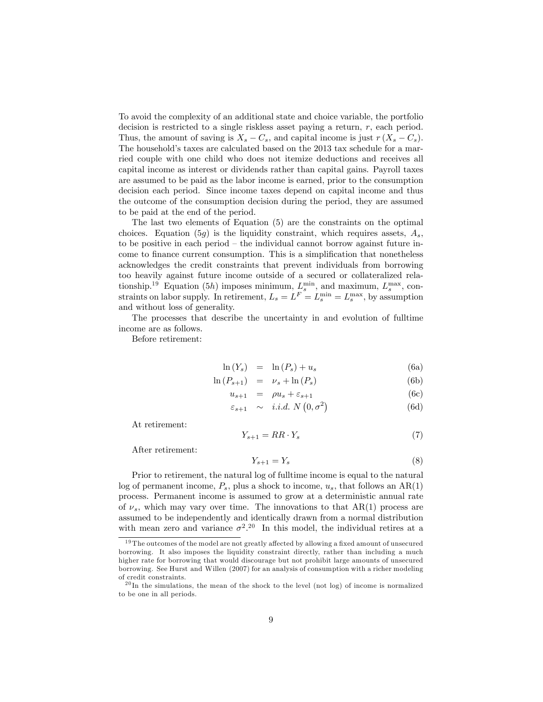To avoid the complexity of an additional state and choice variable, the portfolio decision is restricted to a single riskless asset paying a return, r, each period. Thus, the amount of saving is  $X_s - C_s$ , and capital income is just  $r(X_s - C_s)$ . The household's taxes are calculated based on the 2013 tax schedule for a married couple with one child who does not itemize deductions and receives all capital income as interest or dividends rather than capital gains. Payroll taxes are assumed to be paid as the labor income is earned, prior to the consumption decision each period. Since income taxes depend on capital income and thus the outcome of the consumption decision during the period, they are assumed to be paid at the end of the period.

The last two elements of Equation (5) are the constraints on the optimal choices. Equation (5g) is the liquidity constraint, which requires assets,  $A_s$ , to be positive in each period  $-$  the individual cannot borrow against future income to finance current consumption. This is a simplification that nonetheless acknowledges the credit constraints that prevent individuals from borrowing too heavily against future income outside of a secured or collateralized relationship.<sup>19</sup> Equation (5h) imposes minimum,  $L_s^{\min}$ , and maximum,  $L_s^{\max}$ , constraints on labor supply. In retirement,  $L_s = L^F = L_s^{\min} = L_s^{\max}$ , by assumption and without loss of generality.

The processes that describe the uncertainty in and evolution of fulltime income are as follows.

Before retirement:

$$
\ln(Y_s) = \ln(P_s) + u_s \tag{6a}
$$

$$
\ln(P_{s+1}) = \nu_s + \ln(P_s) \tag{6b}
$$

$$
u_{s+1} = \rho u_s + \varepsilon_{s+1} \tag{6c}
$$

$$
\varepsilon_{s+1} \sim i.i.d. N(0, \sigma^2)
$$
 (6d)

At retirement:

$$
Y_{s+1} = RR \cdot Y_s \tag{7}
$$

After retirement:

$$
Y_{s+1} = Y_s \tag{8}
$$

Prior to retirement, the natural log of fulltime income is equal to the natural log of permanent income,  $P_s$ , plus a shock to income,  $u_s$ , that follows an AR(1) process. Permanent income is assumed to grow at a deterministic annual rate of  $\nu_s$ , which may vary over time. The innovations to that AR(1) process are assumed to be independently and identically drawn from a normal distribution with mean zero and variance  $\sigma^2$ <sup>20</sup> In this model, the individual retires at a

 $19$  The outcomes of the model are not greatly affected by allowing a fixed amount of unsecured borrowing. It also imposes the liquidity constraint directly, rather than including a much higher rate for borrowing that would discourage but not prohibit large amounts of unsecured borrowing. See Hurst and Willen (2007) for an analysis of consumption with a richer modeling of credit constraints.

 $^{20}$ In the simulations, the mean of the shock to the level (not log) of income is normalized to be one in all periods.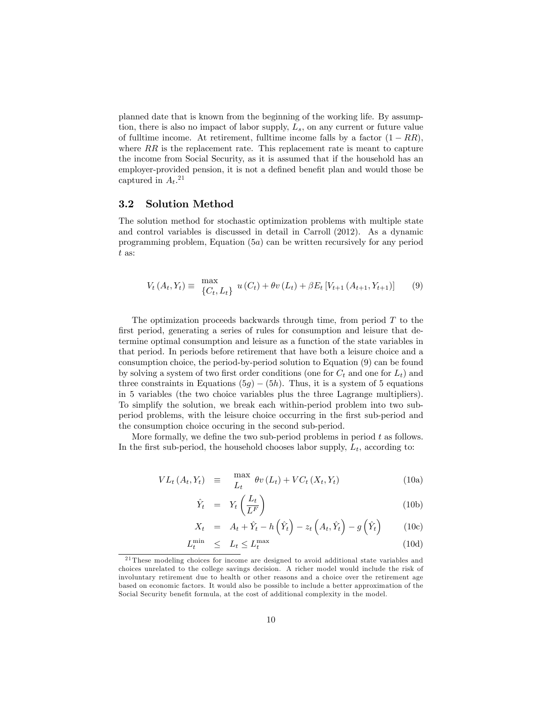planned date that is known from the beginning of the working life. By assumption, there is also no impact of labor supply,  $L_s$ , on any current or future value of fulltime income. At retirement, fulltime income falls by a factor  $(1 - RR)$ , where  $RR$  is the replacement rate. This replacement rate is meant to capture the income from Social Security, as it is assumed that if the household has an employer-provided pension, it is not a defined benefit plan and would those be captured in  $A_t$ <sup>21</sup>

#### 3.2 Solution Method

The solution method for stochastic optimization problems with multiple state and control variables is discussed in detail in Carroll (2012). As a dynamic programming problem, Equation (5a) can be written recursively for any period t as:

$$
V_t(A_t, Y_t) \equiv \frac{\max}{\{C_t, L_t\}} u(C_t) + \theta v(L_t) + \beta E_t \left[ V_{t+1}(A_{t+1}, Y_{t+1}) \right] \tag{9}
$$

The optimization proceeds backwards through time, from period  $T$  to the first period, generating a series of rules for consumption and leisure that determine optimal consumption and leisure as a function of the state variables in that period. In periods before retirement that have both a leisure choice and a consumption choice, the period-by-period solution to Equation (9) can be found by solving a system of two first order conditions (one for  $C_t$  and one for  $L_t$ ) and three constraints in Equations (5g)  $-$  (5h). Thus, it is a system of 5 equations in 5 variables (the two choice variables plus the three Lagrange multipliers). To simplify the solution, we break each within-period problem into two subperiod problems, with the leisure choice occurring in the first sub-period and the consumption choice occuring in the second sub-period.

More formally, we define the two sub-period problems in period  $t$  as follows. In the first sub-period, the household chooses labor supply,  $L_t$ , according to:

$$
VL_t(A_t, Y_t) \equiv \max_{L_t} \theta v(L_t) + VC_t(X_t, Y_t)
$$
 (10a)

$$
\hat{Y}_t = Y_t \left( \frac{L_t}{L^F} \right) \tag{10b}
$$

$$
X_t = A_t + \hat{Y}_t - h\left(\hat{Y}_t\right) - z_t\left(A_t, \hat{Y}_t\right) - g\left(\hat{Y}_t\right) \tag{10c}
$$

$$
L_t^{\min} \le L_t \le L_t^{\max} \tag{10d}
$$

<sup>21</sup> These modeling choices for income are designed to avoid additional state variables and choices unrelated to the college savings decision. A richer model would include the risk of involuntary retirement due to health or other reasons and a choice over the retirement age based on economic factors. It would also be possible to include a better approximation of the Social Security benefit formula, at the cost of additional complexity in the model.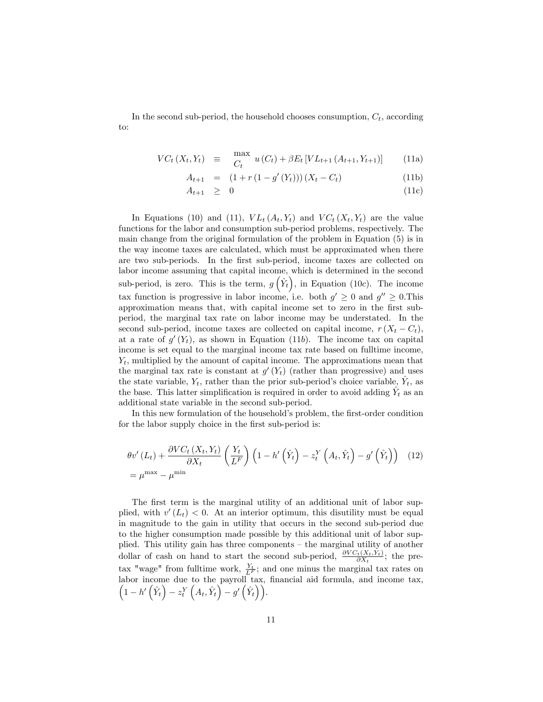In the second sub-period, the household chooses consumption,  $C_t$ , according to:

$$
VC_t(X_t, Y_t) \equiv \max_{C_t} u(C_t) + \beta E_t \left[ VL_{t+1}(A_{t+1}, Y_{t+1}) \right] \tag{11a}
$$

$$
A_{t+1} = (1 + r(1 - g'(Y_t)))(X_t - C_t)
$$
\n(11b)

$$
A_{t+1} \geq 0 \tag{11c}
$$

In Equations (10) and (11),  $VL_t(A_t, Y_t)$  and  $VC_t(X_t, Y_t)$  are the value functions for the labor and consumption sub-period problems, respectively. The main change from the original formulation of the problem in Equation (5) is in the way income taxes are calculated, which must be approximated when there are two sub-periods. In the first sub-period, income taxes are collected on labor income assuming that capital income, which is determined in the second sub-period, is zero. This is the term,  $g\left(\hat{Y}_t\right)$ , in Equation (10c). The income tax function is progressive in labor income, i.e. both  $g' \geq 0$  and  $g'' \geq 0$ . This approximation means that, with capital income set to zero in the Örst subperiod, the marginal tax rate on labor income may be understated. In the second sub-period, income taxes are collected on capital income,  $r(X_t - C_t)$ , at a rate of  $g'(Y_t)$ , as shown in Equation (11b). The income tax on capital income is set equal to the marginal income tax rate based on fulltime income,  $Y_t$ , multiplied by the amount of capital income. The approximations mean that the marginal tax rate is constant at  $g'(Y_t)$  (rather than progressive) and uses the state variable,  $Y_t$ , rather than the prior sub-period's choice variable,  $\hat{Y}_t$ , as the base. This latter simplification is required in order to avoid adding  $\hat{Y}_t$  as an additional state variable in the second sub-period.

In this new formulation of the household's problem, the first-order condition for the labor supply choice in the first sub-period is:

$$
\theta v'(L_t) + \frac{\partial VC_t(X_t, Y_t)}{\partial X_t} \left(\frac{Y_t}{L^F}\right) \left(1 - h'\left(\hat{Y}_t\right) - z_t^Y\left(A_t, \hat{Y}_t\right) - g'\left(\hat{Y}_t\right)\right) \tag{12}
$$
\n
$$
= \mu^{\max} - \mu^{\min}
$$

The first term is the marginal utility of an additional unit of labor supplied, with  $v'(L_t) < 0$ . At an interior optimum, this disutility must be equal in magnitude to the gain in utility that occurs in the second sub-period due to the higher consumption made possible by this additional unit of labor supplied. This utility gain has three components  $-$  the marginal utility of another dollar of cash on hand to start the second sub-period,  $\frac{\partial VC_t(X_t,Y_t)}{\partial X_t}$ ; the pretax "wage" from fulltime work,  $\frac{Y_t}{L^F}$ ; and one minus the marginal tax rates on labor income due to the payroll tax, financial aid formula, and income tax,  $\left(1-h'\left(\hat{Y}_t\right)-z_t^Y\left(A_t,\hat{Y}_t\right)-g'\left(\hat{Y}_t\right)\right).$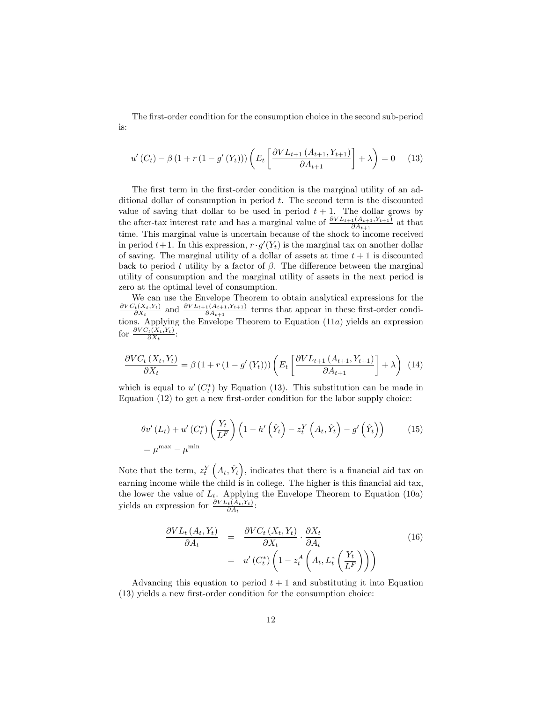The first-order condition for the consumption choice in the second sub-period is:

$$
u'(C_t) - \beta (1 + r (1 - g'(Y_t))) \left( E_t \left[ \frac{\partial V L_{t+1} (A_{t+1}, Y_{t+1})}{\partial A_{t+1}} \right] + \lambda \right) = 0 \quad (13)
$$

The first term in the first-order condition is the marginal utility of an additional dollar of consumption in period  $t$ . The second term is the discounted value of saving that dollar to be used in period  $t + 1$ . The dollar grows by the after-tax interest rate and has a marginal value of  $\frac{\partial V_{Lt+1}(A_{t+1}, Y_{t+1})}{\partial A_{t+1}}$  at that time. This marginal value is uncertain because of the shock to income received in period  $t+1$ . In this expression,  $r \cdot g'(Y_t)$  is the marginal tax on another dollar of saving. The marginal utility of a dollar of assets at time  $t + 1$  is discounted back to period t utility by a factor of  $\beta$ . The difference between the marginal utility of consumption and the marginal utility of assets in the next period is zero at the optimal level of consumption.

We can use the Envelope Theorem to obtain analytical expressions for the  $\partial VC_t(X_t,Y_t)$  $\frac{\partial V_{t}(X_{t},Y_{t})}{\partial X_{t}}$  and  $\frac{\partial V_{t+1}(A_{t+1},Y_{t+1})}{\partial A_{t+1}}$  terms that appear in these first-order conditions. Applying the Envelope Theorem to Equation (11a) yields an expression for  $\frac{\partial VC_t(X_t,Y_t)}{\partial X_t}$ :

$$
\frac{\partial VC_t(X_t, Y_t)}{\partial X_t} = \beta \left(1 + r\left(1 - g'(Y_t)\right)\right) \left(E_t\left[\frac{\partial V L_{t+1}(A_{t+1}, Y_{t+1})}{\partial A_{t+1}}\right] + \lambda\right) \tag{14}
$$

which is equal to  $u'(C_t^*)$  by Equation (13). This substitution can be made in Equation  $(12)$  to get a new first-order condition for the labor supply choice:

$$
\theta v'(L_t) + u'(C_t^*) \left(\frac{Y_t}{L^F}\right) \left(1 - h'\left(\hat{Y}_t\right) - z_t^Y \left(A_t, \hat{Y}_t\right) - g'\left(\hat{Y}_t\right)\right) \tag{15}
$$
\n
$$
= \mu^{\max} - \mu^{\min}
$$

Note that the term,  $z_t^Y\left(A_t, \hat{Y}_t\right)$ , indicates that there is a financial aid tax on earning income while the child is in college. The higher is this financial aid tax, the lower the value of  $L_t$ . Applying the Envelope Theorem to Equation (10a) yields an expression for  $\frac{\partial V L_t(A_t, Y_t)}{\partial A_t}$ :

$$
\frac{\partial V L_t (A_t, Y_t)}{\partial A_t} = \frac{\partial V C_t (X_t, Y_t)}{\partial X_t} \cdot \frac{\partial X_t}{\partial A_t} \qquad (16)
$$
\n
$$
= u' (C_t^*) \left( 1 - z_t^A \left( A_t, L_t^* \left( \frac{Y_t}{L^F} \right) \right) \right)
$$

Advancing this equation to period  $t + 1$  and substituting it into Equation  $(13)$  yields a new first-order condition for the consumption choice: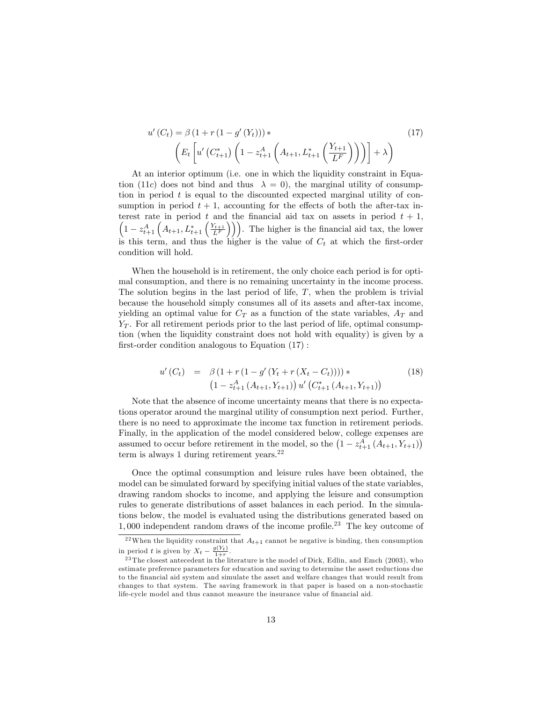$$
u'(C_t) = \beta (1 + r (1 - g'(Y_t))) * \n\left( E_t \left[ u'(C_{t+1}^*) \left( 1 - z_{t+1}^A \left( A_{t+1}, L_{t+1}^* \left( \frac{Y_{t+1}}{L^F} \right) \right) \right) \right] + \lambda \right)
$$
\n(17)

At an interior optimum (i.e. one in which the liquidity constraint in Equation (11c) does not bind and thus  $\lambda = 0$ ), the marginal utility of consumption in period  $t$  is equal to the discounted expected marginal utility of consumption in period  $t + 1$ , accounting for the effects of both the after-tax interest rate in period t and the financial aid tax on assets in period  $t + 1$ ,  $1-z_{t+1}^A\left(A_{t+1},L_{t+1}^*\left(\frac{Y_{t+1}}{L^F}\right)\right)\right)$ . The higher is the financial aid tax, the lower is this term, and thus the higher is the value of  $C_t$  at which the first-order condition will hold.

When the household is in retirement, the only choice each period is for optimal consumption, and there is no remaining uncertainty in the income process. The solution begins in the last period of life,  $T$ , when the problem is trivial because the household simply consumes all of its assets and after-tax income, yielding an optimal value for  $C_T$  as a function of the state variables,  $A_T$  and  $Y_T$ . For all retirement periods prior to the last period of life, optimal consumption (when the liquidity constraint does not hold with equality) is given by a first-order condition analogous to Equation  $(17)$ :

$$
u'(C_t) = \beta (1 + r (1 - g'(Y_t + r (X_t - C_t)))) * (1 - z_{t+1}^A (A_{t+1}, Y_{t+1})) u'(C_{t+1}^*(A_{t+1}, Y_{t+1}))
$$
(18)

Note that the absence of income uncertainty means that there is no expectations operator around the marginal utility of consumption next period. Further, there is no need to approximate the income tax function in retirement periods. Finally, in the application of the model considered below, college expenses are assumed to occur before retirement in the model, so the  $(1 - z_{t+1}^A (A_{t+1}, Y_{t+1}))$ term is always 1 during retirement years. $^{22}$ 

Once the optimal consumption and leisure rules have been obtained, the model can be simulated forward by specifying initial values of the state variables, drawing random shocks to income, and applying the leisure and consumption rules to generate distributions of asset balances in each period. In the simulations below, the model is evaluated using the distributions generated based on  $1,000$  independent random draws of the income profile.<sup>23</sup> The key outcome of

<sup>&</sup>lt;sup>22</sup>When the liquidity constraint that  $A_{t+1}$  cannot be negative is binding, then consumption in period t is given by  $X_t - \frac{g(Y_t)}{1+r}$ .

 $23$  The closest antecedent in the literature is the model of Dick, Edlin, and Emch (2003), who estimate preference parameters for education and saving to determine the asset reductions due to the Önancial aid system and simulate the asset and welfare changes that would result from changes to that system. The saving framework in that paper is based on a non-stochastic life-cycle model and thus cannot measure the insurance value of financial aid.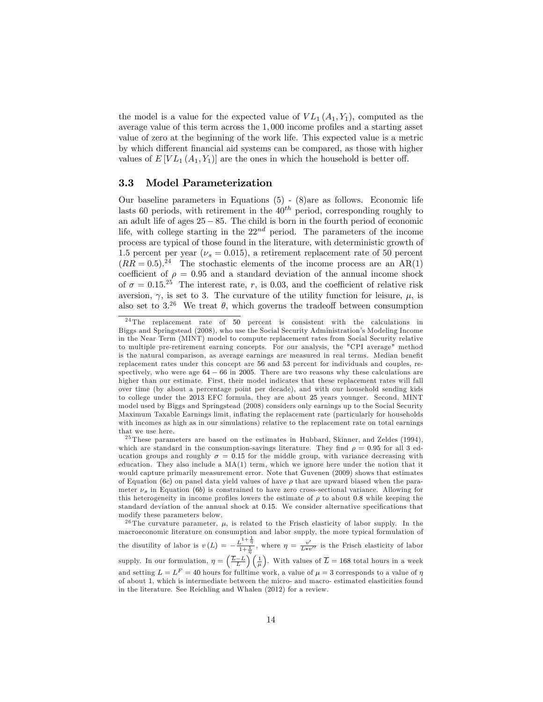the model is a value for the expected value of  $VL_1(A_1,Y_1)$ , computed as the average value of this term across the  $1,000$  income profiles and a starting asset value of zero at the beginning of the work life. This expected value is a metric by which different financial aid systems can be compared, as those with higher values of  $E[V_{L_1}(A_1,Y_1)]$  are the ones in which the household is better off.

#### 3.3 Model Parameterization

Our baseline parameters in Equations (5) - (8)are as follows. Economic life lasts 60 periods, with retirement in the  $40^{th}$  period, corresponding roughly to an adult life of ages  $25 - 85$ . The child is born in the fourth period of economic life, with college starting in the  $22^{nd}$  period. The parameters of the income process are typical of those found in the literature, with deterministic growth of 1.5 percent per year ( $\nu_s = 0.015$ ), a retirement replacement rate of 50 percent  $(RR = 0.5)^{24}$  The stochastic elements of the income process are an AR(1) coefficient of  $\rho = 0.95$  and a standard deviation of the annual income shock of  $\sigma = 0.15^{25}$  The interest rate, r, is 0.03, and the coefficient of relative risk aversion,  $\gamma$ , is set to 3. The curvature of the utility function for leisure,  $\mu$ , is also set to  $3.^{26}$  We treat  $\theta$ , which governs the tradeoff between consumption

<sup>26</sup> The curvature parameter,  $\mu$ , is related to the Frisch elasticity of labor supply. In the macroeconomic literature on consumption and labor supply, the more typical formulation of the disutility of labor is  $v(L) = -\frac{L^{1+\frac{1}{\eta}}}{1+\frac{1}{\eta}}$ , where  $\eta = \frac{v'}{L*v''}$  is the Frisch elasticity of labor supply. In our formulation,  $\eta = \left(\frac{\overline{L}-L}{L}\right)\left(\frac{1}{\mu}\right)$ . With values of  $\overline{L} = 168$  total hours in a week and setting  $L = L<sup>F</sup> = 40$  hours for fulltime work, a value of  $\mu = 3$  corresponds to a value of  $\eta$ of about 1, which is intermediate between the micro- and macro- estimated elasticities found in the literature. See Reichling and Whalen (2012) for a review.

<sup>&</sup>lt;sup>24</sup> The replacement rate of 50 percent is consistent with the calculations in Biggs and Springstead (2008), who use the Social Security Administration's Modeling Income in the Near Term (MINT) model to compute replacement rates from Social Security relative to multiple pre-retirement earning concepts. For our analysis, the "CPI average" method is the natural comparison, as average earnings are measured in real terms. Median benefit replacement rates under this concept are 56 and 53 percent for individuals and couples, respectively, who were age  $64 - 66$  in 2005. There are two reasons why these calculations are higher than our estimate. First, their model indicates that these replacement rates will fall over time (by about a percentage point per decade), and with our household sending kids to college under the 2013 EFC formula, they are about 25 years younger. Second, MINT model used by Biggs and Springstead (2008) considers only earnings up to the Social Security Maximum Taxable Earnings limit, ináating the replacement rate (particularly for households with incomes as high as in our simulations) relative to the replacement rate on total earnings that we use here.

<sup>25</sup> These parameters are based on the estimates in Hubbard, Skinner, and Zeldes (1994), which are standard in the consumption-savings literature. They find  $\rho = 0.95$  for all 3 education groups and roughly  $\sigma = 0.15$  for the middle group, with variance decreasing with education. They also include a  $MA(1)$  term, which we ignore here under the notion that it would capture primarily measurement error. Note that Guvenen (2009) shows that estimates of Equation (6c) on panel data yield values of have  $\rho$  that are upward biased when the parameter  $\nu_s$  in Equation (6b) is constrained to have zero cross-sectional variance. Allowing for this heterogeneity in income profiles lowers the estimate of  $\rho$  to about 0.8 while keeping the standard deviation of the annual shock at 0.15. We consider alternative specifications that modify these parameters below.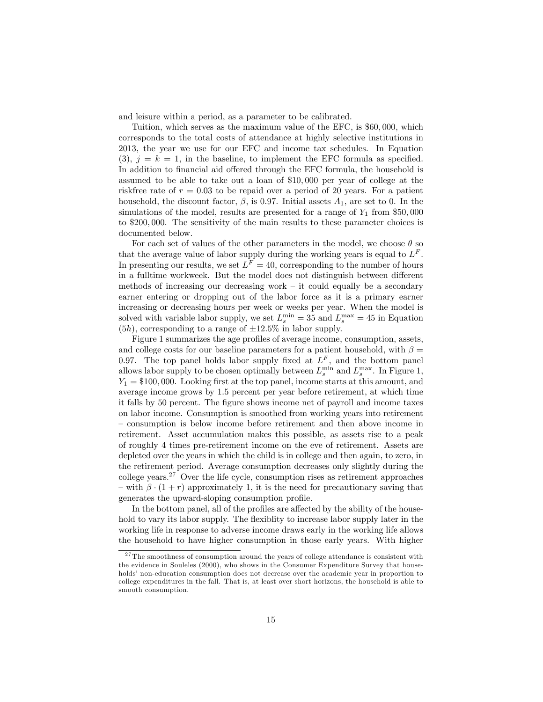and leisure within a period, as a parameter to be calibrated.

Tuition, which serves as the maximum value of the EFC, is \$60; 000, which corresponds to the total costs of attendance at highly selective institutions in 2013, the year we use for our EFC and income tax schedules. In Equation  $(3), i = k = 1$ , in the baseline, to implement the EFC formula as specified. In addition to financial aid offered through the EFC formula, the household is assumed to be able to take out a loan of \$10; 000 per year of college at the riskfree rate of  $r = 0.03$  to be repaid over a period of 20 years. For a patient household, the discount factor,  $\beta$ , is 0.97. Initial assets  $A_1$ , are set to 0. In the simulations of the model, results are presented for a range of  $Y_1$  from \$50,000 to \$200; 000. The sensitivity of the main results to these parameter choices is documented below.

For each set of values of the other parameters in the model, we choose  $\theta$  so that the average value of labor supply during the working years is equal to  $L^F$ . In presenting our results, we set  $L^F = 40$ , corresponding to the number of hours in a fulltime workweek. But the model does not distinguish between different methods of increasing our decreasing work  $-$  it could equally be a secondary earner entering or dropping out of the labor force as it is a primary earner increasing or decreasing hours per week or weeks per year. When the model is solved with variable labor supply, we set  $L_s^{\min} = 35$  and  $L_s^{\max} = 45$  in Equation  $(5h)$ , corresponding to a range of  $\pm 12.5\%$  in labor supply.

Figure 1 summarizes the age profiles of average income, consumption, assets, and college costs for our baseline parameters for a patient household, with  $\beta =$ 0.97. The top panel holds labor supply fixed at  $L^F$ , and the bottom panel allows labor supply to be chosen optimally between  $L_s^{\min}$  and  $L_s^{\max}$ . In Figure 1,  $Y_1 = $100,000$ . Looking first at the top panel, income starts at this amount, and average income grows by 1:5 percent per year before retirement, at which time it falls by 50 percent. The figure shows income net of payroll and income taxes on labor income. Consumption is smoothed from working years into retirement – consumption is below income before retirement and then above income in retirement. Asset accumulation makes this possible, as assets rise to a peak of roughly 4 times pre-retirement income on the eve of retirement. Assets are depleted over the years in which the child is in college and then again, to zero, in the retirement period. Average consumption decreases only slightly during the college years.<sup>27</sup> Over the life cycle, consumption rises as retirement approaches – with  $\beta \cdot (1+r)$  approximately 1, it is the need for precautionary saving that generates the upward-sloping consumption profile.

In the bottom panel, all of the profiles are affected by the ability of the household to vary its labor supply. The flexiblity to increase labor supply later in the working life in response to adverse income draws early in the working life allows the household to have higher consumption in those early years. With higher

<sup>&</sup>lt;sup>27</sup> The smoothness of consumption around the years of college attendance is consistent with the evidence in Souleles (2000), who shows in the Consumer Expenditure Survey that households' non-education consumption does not decrease over the academic year in proportion to college expenditures in the fall. That is, at least over short horizons, the household is able to smooth consumption.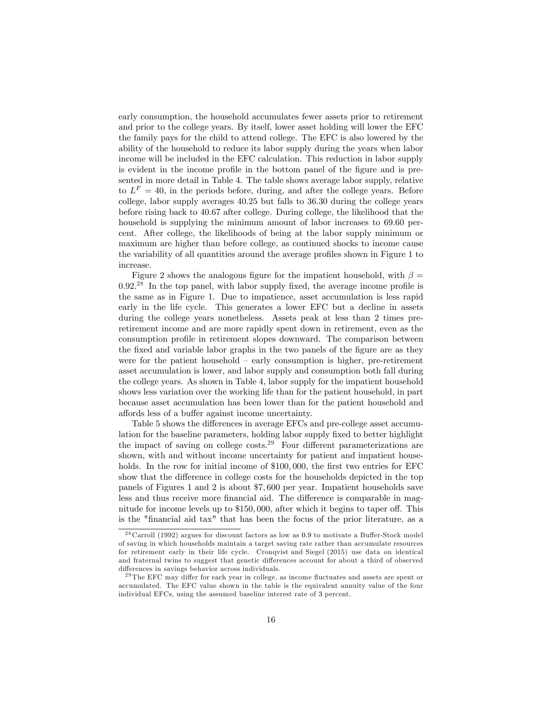early consumption, the household accumulates fewer assets prior to retirement and prior to the college years. By itself, lower asset holding will lower the EFC the family pays for the child to attend college. The EFC is also lowered by the ability of the household to reduce its labor supply during the years when labor income will be included in the EFC calculation. This reduction in labor supply is evident in the income profile in the bottom panel of the figure and is presented in more detail in Table 4. The table shows average labor supply, relative to  $L^F = 40$ , in the periods before, during, and after the college years. Before college, labor supply averages 40:25 but falls to 36:30 during the college years before rising back to 40:67 after college. During college, the likelihood that the household is supplying the minimum amount of labor increases to 69.60 percent. After college, the likelihoods of being at the labor supply minimum or maximum are higher than before college, as continued shocks to income cause the variability of all quantities around the average profiles shown in Figure 1 to increase.

Figure 2 shows the analogous figure for the impatient household, with  $\beta =$  $0.92<sup>28</sup>$  In the top panel, with labor supply fixed, the average income profile is the same as in Figure 1. Due to impatience, asset accumulation is less rapid early in the life cycle. This generates a lower EFC but a decline in assets during the college years nonetheless. Assets peak at less than 2 times preretirement income and are more rapidly spent down in retirement, even as the consumption profile in retirement slopes downward. The comparison between the fixed and variable labor graphs in the two panels of the figure are as they were for the patient household  $-$  early consumption is higher, pre-retirement asset accumulation is lower, and labor supply and consumption both fall during the college years. As shown in Table 4, labor supply for the impatient household shows less variation over the working life than for the patient household, in part because asset accumulation has been lower than for the patient household and affords less of a buffer against income uncertainty.

Table 5 shows the differences in average EFCs and pre-college asset accumulation for the baseline parameters, holding labor supply fixed to better highlight the impact of saving on college costs.<sup>29</sup> Four different parameterizations are shown, with and without income uncertainty for patient and impatient households. In the row for initial income of  $$100,000$ , the first two entries for EFC show that the difference in college costs for the households depicted in the top panels of Figures 1 and 2 is about \$7; 600 per year. Impatient households save less and thus receive more financial aid. The difference is comparable in magnitude for income levels up to  $$150,000$ , after which it begins to taper off. This is the "Önancial aid tax" that has been the focus of the prior literature, as a

 $28$  Carroll (1992) argues for discount factors as low as 0.9 to motivate a Buffer-Stock model of saving in which households maintain a target saving rate rather than accumulate resources for retirement early in their life cycle. Cronqvist and Siegel (2015) use data on identical and fraternal twins to suggest that genetic differences account for about a third of observed differences in savings behavior across individuals.

 $^{29}$  The EFC may differ for each year in college, as income fluctuates and assets are spent or accumulated. The EFC value shown in the table is the equivalent annuity value of the four individual EFCs, using the assumed baseline interest rate of 3 percent.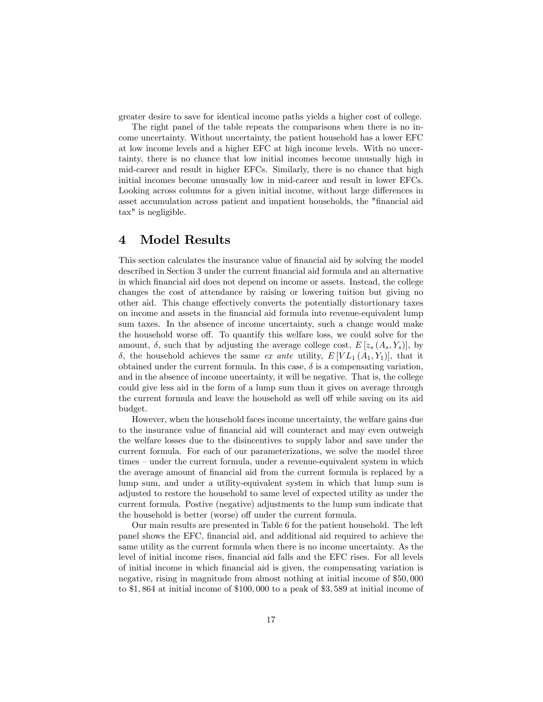greater desire to save for identical income paths yields a higher cost of college.

The right panel of the table repeats the comparisons when there is no income uncertainty. Without uncertainty, the patient household has a lower EFC at low income levels and a higher EFC at high income levels. With no uncertainty, there is no chance that low initial incomes become unusually high in mid-career and result in higher EFCs. Similarly, there is no chance that high initial incomes become unusually low in mid-career and result in lower EFCs. Looking across columns for a given initial income, without large differences in asset accumulation across patient and impatient households, the "Önancial aid tax" is negligible.

### 4 Model Results

This section calculates the insurance value of financial aid by solving the model described in Section 3 under the current Önancial aid formula and an alternative in which Önancial aid does not depend on income or assets. Instead, the college changes the cost of attendance by raising or lowering tuition but giving no other aid. This change effectively converts the potentially distortionary taxes on income and assets in the Önancial aid formula into revenue-equivalent lump sum taxes. In the absence of income uncertainty, such a change would make the household worse off. To quantify this welfare loss, we could solve for the amount,  $\delta$ , such that by adjusting the average college cost,  $E[z_s(A_s, Y_s)],$  by  $\delta$ , the household achieves the same ex ante utility,  $E[VL_1(A_1,Y_1)]$ , that it obtained under the current formula. In this case,  $\delta$  is a compensating variation, and in the absence of income uncertainty, it will be negative. That is, the college could give less aid in the form of a lump sum than it gives on average through the current formula and leave the household as well off while saving on its aid budget.

However, when the household faces income uncertainty, the welfare gains due to the insurance value of financial aid will counteract and may even outweigh the welfare losses due to the disincentives to supply labor and save under the current formula. For each of our parameterizations, we solve the model three times – under the current formula, under a revenue-equivalent system in which the average amount of Önancial aid from the current formula is replaced by a lump sum, and under a utility-equivalent system in which that lump sum is adjusted to restore the household to same level of expected utility as under the current formula. Postive (negative) adjustments to the lump sum indicate that the household is better (worse) off under the current formula.

Our main results are presented in Table 6 for the patient household. The left panel shows the EFC, financial aid, and additional aid required to achieve the same utility as the current formula when there is no income uncertainty. As the level of initial income rises, financial aid falls and the EFC rises. For all levels of initial income in which Önancial aid is given, the compensating variation is negative, rising in magnitude from almost nothing at initial income of \$50,000 to \$1,864 at initial income of \$100,000 to a peak of \$3,589 at initial income of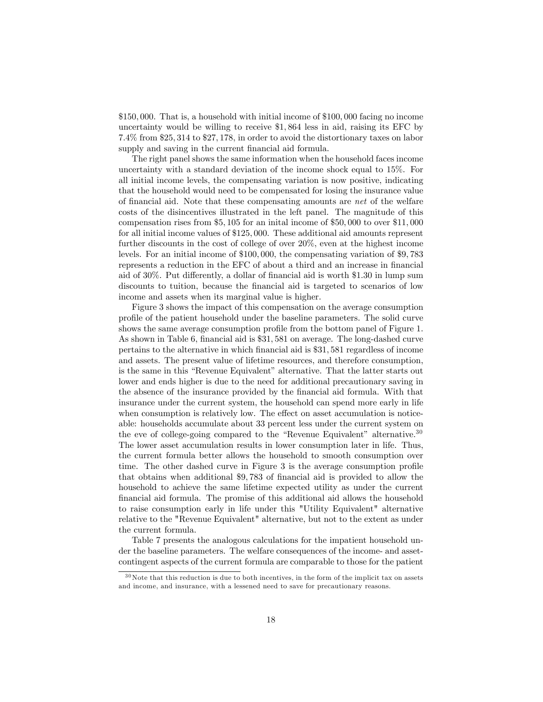\$150; 000. That is, a household with initial income of \$100; 000 facing no income uncertainty would be willing to receive \$1; 864 less in aid, raising its EFC by 7:4% from \$25; 314 to \$27; 178, in order to avoid the distortionary taxes on labor supply and saving in the current financial aid formula.

The right panel shows the same information when the household faces income uncertainty with a standard deviation of the income shock equal to 15%. For all initial income levels, the compensating variation is now positive, indicating that the household would need to be compensated for losing the insurance value of financial aid. Note that these compensating amounts are net of the welfare costs of the disincentives illustrated in the left panel. The magnitude of this compensation rises from \$5; 105 for an inital income of \$50; 000 to over \$11; 000 for all initial income values of \$125,000. These additional aid amounts represent further discounts in the cost of college of over 20%, even at the highest income levels. For an initial income of  $$100,000$ , the compensating variation of  $$9,783$ represents a reduction in the EFC of about a third and an increase in financial aid of  $30\%$ . Put differently, a dollar of financial aid is worth \$1.30 in lump sum discounts to tuition, because the Önancial aid is targeted to scenarios of low income and assets when its marginal value is higher.

Figure 3 shows the impact of this compensation on the average consumption proÖle of the patient household under the baseline parameters. The solid curve shows the same average consumption profile from the bottom panel of Figure 1. As shown in Table 6, financial aid is \$31,581 on average. The long-dashed curve pertains to the alternative in which Önancial aid is \$31; 581 regardless of income and assets. The present value of lifetime resources, and therefore consumption, is the same in this "Revenue Equivalent" alternative. That the latter starts out lower and ends higher is due to the need for additional precautionary saving in the absence of the insurance provided by the Önancial aid formula. With that insurance under the current system, the household can spend more early in life when consumption is relatively low. The effect on asset accumulation is noticeable: households accumulate about 33 percent less under the current system on the eve of college-going compared to the "Revenue Equivalent" alternative.<sup>30</sup> The lower asset accumulation results in lower consumption later in life. Thus, the current formula better allows the household to smooth consumption over time. The other dashed curve in Figure 3 is the average consumption profile that obtains when additional \$9,783 of financial aid is provided to allow the household to achieve the same lifetime expected utility as under the current Önancial aid formula. The promise of this additional aid allows the household to raise consumption early in life under this "Utility Equivalent" alternative relative to the "Revenue Equivalent" alternative, but not to the extent as under the current formula.

Table 7 presents the analogous calculations for the impatient household under the baseline parameters. The welfare consequences of the income- and assetcontingent aspects of the current formula are comparable to those for the patient

<sup>30</sup>Note that this reduction is due to both incentives, in the form of the implicit tax on assets and income, and insurance, with a lessened need to save for precautionary reasons.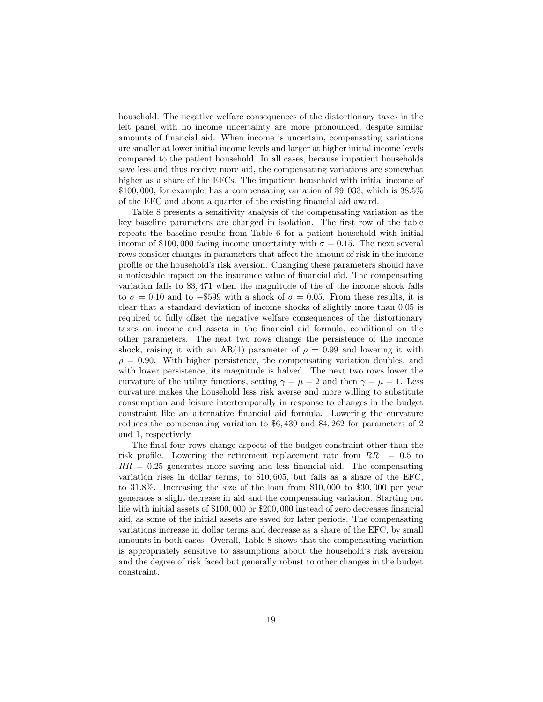household. The negative welfare consequences of the distortionary taxes in the left panel with no income uncertainty are more pronounced, despite similar amounts of Önancial aid. When income is uncertain, compensating variations are smaller at lower initial income levels and larger at higher initial income levels compared to the patient household. In all cases, because impatient households save less and thus receive more aid, the compensating variations are somewhat higher as a share of the EFCs. The impatient household with initial income of  $$100,000$ , for example, has a compensating variation of \$9,033, which is  $38.5\%$ of the EFC and about a quarter of the existing financial aid award.

Table 8 presents a sensitivity analysis of the compensating variation as the key baseline parameters are changed in isolation. The first row of the table repeats the baseline results from Table 6 for a patient household with initial income of \$100,000 facing income uncertainty with  $\sigma = 0.15$ . The next several rows consider changes in parameters that affect the amount of risk in the income profile or the household's risk aversion. Changing these parameters should have a noticeable impact on the insurance value of financial aid. The compensating variation falls to \$3; 471 when the magnitude of the of the income shock falls to  $\sigma = 0.10$  and to  $-$ \$599 with a shock of  $\sigma = 0.05$ . From these results, it is clear that a standard deviation of income shocks of slightly more than 0:05 is required to fully offset the negative welfare consequences of the distortionary taxes on income and assets in the Önancial aid formula, conditional on the other parameters. The next two rows change the persistence of the income shock, raising it with an AR(1) parameter of  $\rho = 0.99$  and lowering it with  $\rho = 0.90$ . With higher persistence, the compensating variation doubles, and with lower persistence, its magnitude is halved. The next two rows lower the curvature of the utility functions, setting  $\gamma = \mu = 2$  and then  $\gamma = \mu = 1$ . Less curvature makes the household less risk averse and more willing to substitute consumption and leisure intertemporally in response to changes in the budget constraint like an alternative Önancial aid formula. Lowering the curvature reduces the compensating variation to  $$6,439$  and  $$4,262$  for parameters of 2 and 1, respectively.

The final four rows change aspects of the budget constraint other than the risk profile. Lowering the retirement replacement rate from  $RR = 0.5$  to  $RR = 0.25$  generates more saving and less financial aid. The compensating variation rises in dollar terms, to \$10; 605, but falls as a share of the EFC, to 31:8%. Increasing the size of the loan from \$10; 000 to \$30; 000 per year generates a slight decrease in aid and the compensating variation. Starting out life with initial assets of  $$100,000$  or  $$200,000$  instead of zero decreases financial aid, as some of the initial assets are saved for later periods. The compensating variations increase in dollar terms and decrease as a share of the EFC, by small amounts in both cases. Overall, Table 8 shows that the compensating variation is appropriately sensitive to assumptions about the household's risk aversion and the degree of risk faced but generally robust to other changes in the budget constraint.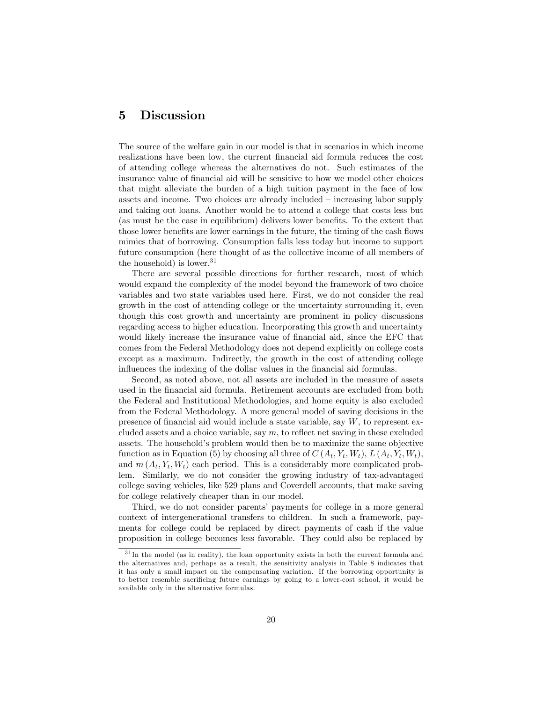### 5 Discussion

The source of the welfare gain in our model is that in scenarios in which income realizations have been low, the current Önancial aid formula reduces the cost of attending college whereas the alternatives do not. Such estimates of the insurance value of Önancial aid will be sensitive to how we model other choices that might alleviate the burden of a high tuition payment in the face of low assets and income. Two choices are already included  $\overline{\phantom{a}}$  increasing labor supply and taking out loans. Another would be to attend a college that costs less but (as must be the case in equilibrium) delivers lower benefits. To the extent that those lower benefits are lower earnings in the future, the timing of the cash flows mimics that of borrowing. Consumption falls less today but income to support future consumption (here thought of as the collective income of all members of the household) is lower.<sup>31</sup>

There are several possible directions for further research, most of which would expand the complexity of the model beyond the framework of two choice variables and two state variables used here. First, we do not consider the real growth in the cost of attending college or the uncertainty surrounding it, even though this cost growth and uncertainty are prominent in policy discussions regarding access to higher education. Incorporating this growth and uncertainty would likely increase the insurance value of financial aid, since the EFC that comes from the Federal Methodology does not depend explicitly on college costs except as a maximum. Indirectly, the growth in the cost of attending college influences the indexing of the dollar values in the financial aid formulas.

Second, as noted above, not all assets are included in the measure of assets used in the Önancial aid formula. Retirement accounts are excluded from both the Federal and Institutional Methodologies, and home equity is also excluded from the Federal Methodology. A more general model of saving decisions in the presence of financial aid would include a state variable, say  $W$ , to represent excluded assets and a choice variable, say  $m$ , to reflect net saving in these excluded assets. The household's problem would then be to maximize the same objective function as in Equation (5) by choosing all three of  $C(A_t, Y_t, W_t)$ ,  $L(A_t, Y_t, W_t)$ , and  $m(A_t, Y_t, W_t)$  each period. This is a considerably more complicated problem. Similarly, we do not consider the growing industry of tax-advantaged college saving vehicles, like 529 plans and Coverdell accounts, that make saving for college relatively cheaper than in our model.

Third, we do not consider parents' payments for college in a more general context of intergenerational transfers to children. In such a framework, payments for college could be replaced by direct payments of cash if the value proposition in college becomes less favorable. They could also be replaced by

<sup>&</sup>lt;sup>31</sup>In the model (as in reality), the loan opportunity exists in both the current formula and the alternatives and, perhaps as a result, the sensitivity analysis in Table 8 indicates that it has only a small impact on the compensating variation. If the borrowing opportunity is to better resemble sacrificing future earnings by going to a lower-cost school, it would be available only in the alternative formulas.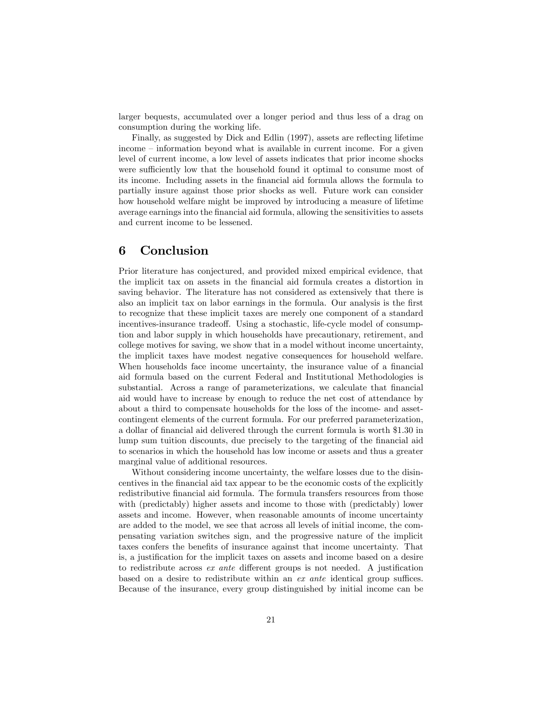larger bequests, accumulated over a longer period and thus less of a drag on consumption during the working life.

Finally, as suggested by Dick and Edlin (1997), assets are reflecting lifetime  $i$ income  $i$  information beyond what is available in current income. For a given level of current income, a low level of assets indicates that prior income shocks were sufficiently low that the household found it optimal to consume most of its income. Including assets in the Önancial aid formula allows the formula to partially insure against those prior shocks as well. Future work can consider how household welfare might be improved by introducing a measure of lifetime average earnings into the Önancial aid formula, allowing the sensitivities to assets and current income to be lessened.

### 6 Conclusion

Prior literature has conjectured, and provided mixed empirical evidence, that the implicit tax on assets in the Önancial aid formula creates a distortion in saving behavior. The literature has not considered as extensively that there is also an implicit tax on labor earnings in the formula. Our analysis is the first to recognize that these implicit taxes are merely one component of a standard incentives-insurance tradeoff. Using a stochastic, life-cycle model of consumption and labor supply in which households have precautionary, retirement, and college motives for saving, we show that in a model without income uncertainty, the implicit taxes have modest negative consequences for household welfare. When households face income uncertainty, the insurance value of a financial aid formula based on the current Federal and Institutional Methodologies is substantial. Across a range of parameterizations, we calculate that financial aid would have to increase by enough to reduce the net cost of attendance by about a third to compensate households for the loss of the income- and assetcontingent elements of the current formula. For our preferred parameterization, a dollar of Önancial aid delivered through the current formula is worth \$1:30 in lump sum tuition discounts, due precisely to the targeting of the financial aid to scenarios in which the household has low income or assets and thus a greater marginal value of additional resources.

Without considering income uncertainty, the welfare losses due to the disincentives in the financial aid tax appear to be the economic costs of the explicitly redistributive financial aid formula. The formula transfers resources from those with (predictably) higher assets and income to those with (predictably) lower assets and income. However, when reasonable amounts of income uncertainty are added to the model, we see that across all levels of initial income, the compensating variation switches sign, and the progressive nature of the implicit taxes confers the benefits of insurance against that income uncertainty. That is, a justification for the implicit taxes on assets and income based on a desire to redistribute across  $ex$  ante different groups is not needed. A justification based on a desire to redistribute within an  $ex$  ante identical group suffices. Because of the insurance, every group distinguished by initial income can be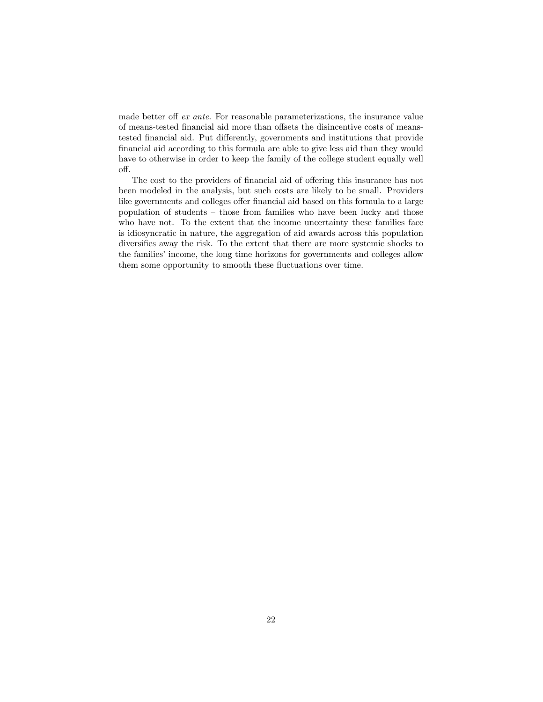made better off  $ex$  ante. For reasonable parameterizations, the insurance value of means-tested financial aid more than offsets the disincentive costs of meanstested financial aid. Put differently, governments and institutions that provide financial aid according to this formula are able to give less aid than they would have to otherwise in order to keep the family of the college student equally well off.

The cost to the providers of financial aid of offering this insurance has not been modeled in the analysis, but such costs are likely to be small. Providers like governments and colleges offer financial aid based on this formula to a large population of students  $-$  those from families who have been lucky and those who have not. To the extent that the income uncertainty these families face is idiosyncratic in nature, the aggregation of aid awards across this population diversifies away the risk. To the extent that there are more systemic shocks to the families' income, the long time horizons for governments and colleges allow them some opportunity to smooth these fluctuations over time.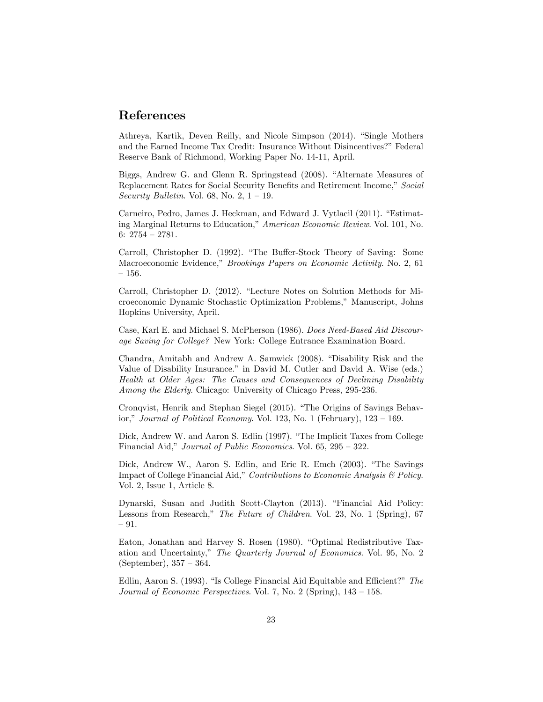## References

Athreya, Kartik, Deven Reilly, and Nicole Simpson (2014). "Single Mothers and the Earned Income Tax Credit: Insurance Without Disincentives?" Federal Reserve Bank of Richmond, Working Paper No. 14-11, April.

Biggs, Andrew G. and Glenn R. Springstead (2008). "Alternate Measures of Replacement Rates for Social Security Benefits and Retirement Income," Social Security Bulletin. Vol. 68, No. 2,  $1 - 19$ .

Carneiro, Pedro, James J. Heckman, and Edward J. Vytlacil (2011). "Estimating Marginal Returns to Education," American Economic Review. Vol. 101, No. 6:  $2754 - 2781$ .

Carroll, Christopher D. (1992). "The Buffer-Stock Theory of Saving: Some Macroeconomic Evidence," Brookings Papers on Economic Activity. No. 2, 61  $-156.$ 

Carroll, Christopher D. (2012). "Lecture Notes on Solution Methods for Microeconomic Dynamic Stochastic Optimization Problems,î Manuscript, Johns Hopkins University, April.

Case, Karl E. and Michael S. McPherson (1986). Does Need-Based Aid Discourage Saving for College? New York: College Entrance Examination Board.

Chandra, Amitabh and Andrew A. Samwick (2008). "Disability Risk and the Value of Disability Insurance." in David M. Cutler and David A. Wise (eds.) Health at Older Ages: The Causes and Consequences of Declining Disability Among the Elderly. Chicago: University of Chicago Press, 295-236.

Cronqvist, Henrik and Stephan Siegel (2015). "The Origins of Savings Behavior," Journal of Political Economy. Vol. 123, No. 1 (February),  $123 - 169$ .

Dick, Andrew W. and Aaron S. Edlin (1997). "The Implicit Taxes from College Financial Aid," Journal of Public Economics. Vol. 65,  $295 - 322$ .

Dick, Andrew W., Aaron S. Edlin, and Eric R. Emch (2003). "The Savings Impact of College Financial Aid," Contributions to Economic Analysis  $\mathcal B$  Policy. Vol. 2, Issue 1, Article 8.

Dynarski, Susan and Judith Scott-Clayton (2013). "Financial Aid Policy: Lessons from Research," The Future of Children. Vol. 23, No. 1 (Spring), 67  $-91.$ 

Eaton, Jonathan and Harvey S. Rosen (1980). "Optimal Redistributive Taxation and Uncertainty," The Quarterly Journal of Economics. Vol. 95, No. 2 (September),  $357 - 364$ .

Edlin, Aaron S. (1993). "Is College Financial Aid Equitable and Efficient?"  $The$ Journal of Economic Perspectives. Vol. 7, No. 2 (Spring),  $143 - 158$ .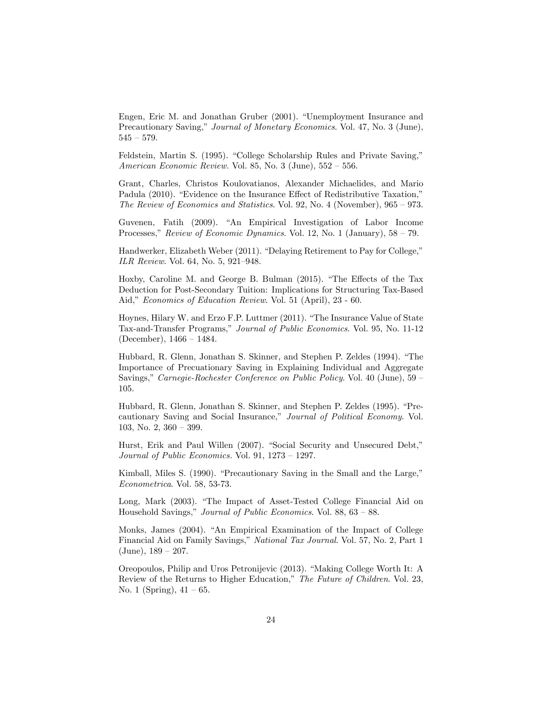Engen, Eric M. and Jonathan Gruber (2001). "Unemployment Insurance and Precautionary Saving," Journal of Monetary Economics. Vol. 47, No. 3 (June),  $545 - 579.$ 

Feldstein, Martin S. (1995). "College Scholarship Rules and Private Saving," American Economic Review. Vol. 85, No. 3 (June),  $552 - 556$ .

Grant, Charles, Christos Koulovatianos, Alexander Michaelides, and Mario Padula (2010). "Evidence on the Insurance Effect of Redistributive Taxation," The Review of Economics and Statistics. Vol. 92, No. 4 (November),  $965 - 973$ .

Guvenen, Fatih (2009). "An Empirical Investigation of Labor Income Processes," Review of Economic Dynamics. Vol. 12, No. 1 (January),  $58 - 79$ .

Handwerker, Elizabeth Weber (2011). "Delaying Retirement to Pay for College," ILR Review. Vol. 64, No. 5, 921-948.

Hoxby, Caroline M. and George B. Bulman (2015). "The Effects of the Tax Deduction for Post-Secondary Tuition: Implications for Structuring Tax-Based Aid," Economics of Education Review. Vol. 51 (April), 23 - 60.

Hoynes, Hilary W. and Erzo F.P. Luttmer (2011). "The Insurance Value of State Tax-and-Transfer Programs," Journal of Public Economics. Vol. 95, No. 11-12 (December),  $1466 - 1484$ .

Hubbard, R. Glenn, Jonathan S. Skinner, and Stephen P. Zeldes (1994). "The Importance of Precuationary Saving in Explaining Individual and Aggregate Savings," Carnegie-Rochester Conference on Public Policy. Vol. 40 (June), 59  $-$ 105.

Hubbard, R. Glenn, Jonathan S. Skinner, and Stephen P. Zeldes (1995). "Precautionary Saving and Social Insurance," Journal of Political Economy. Vol. 103, No. 2,  $360 - 399$ .

Hurst, Erik and Paul Willen (2007). "Social Security and Unsecured Debt," Journal of Public Economics. Vol. 91,  $1273 - 1297$ .

Kimball, Miles S. (1990). "Precautionary Saving in the Small and the Large," Econometrica. Vol. 58, 53-73.

Long, Mark (2003). "The Impact of Asset-Tested College Financial Aid on Household Savings," Journal of Public Economics. Vol. 88,  $63 - 88$ .

Monks, James (2004). "An Empirical Examination of the Impact of College Financial Aid on Family Savings," National Tax Journal. Vol. 57, No. 2, Part 1  $(June), 189 - 207.$ 

Oreopoulos, Philip and Uros Petronijevic (2013). "Making College Worth It: A Review of the Returns to Higher Education," The Future of Children. Vol. 23, No. 1 (Spring),  $41 - 65$ .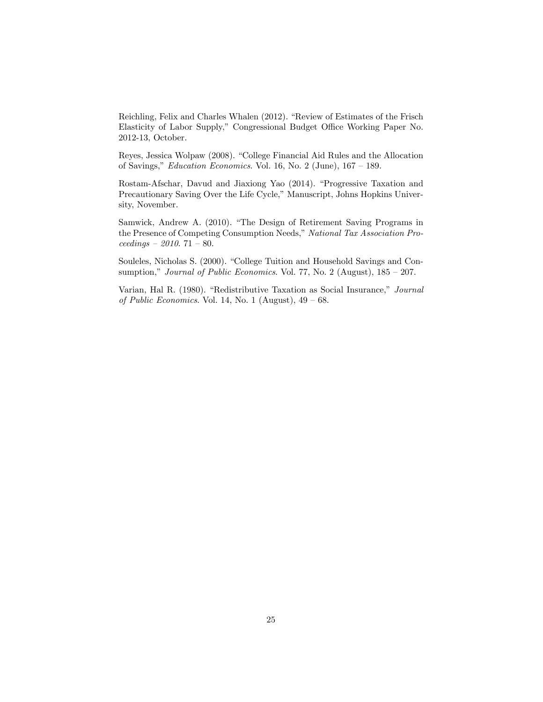Reichling, Felix and Charles Whalen (2012). "Review of Estimates of the Frisch Elasticity of Labor Supply," Congressional Budget Office Working Paper No. 2012-13, October.

Reyes, Jessica Wolpaw (2008). "College Financial Aid Rules and the Allocation of Savings," Education Economics. Vol. 16, No. 2 (June),  $167 - 189$ .

Rostam-Afschar, Davud and Jiaxiong Yao (2014). "Progressive Taxation and Precautionary Saving Over the Life Cycle," Manuscript, Johns Hopkins University, November.

Samwick, Andrew A. (2010). "The Design of Retirement Saving Programs in the Presence of Competing Consumption Needs," National Tax Association Pro $ceedings - 2010. 71 - 80.$ 

Souleles, Nicholas S. (2000). "College Tuition and Household Savings and Consumption," Journal of Public Economics. Vol. 77, No. 2 (August),  $185 - 207$ .

Varian, Hal R. (1980). "Redistributive Taxation as Social Insurance," Journal of Public Economics. Vol. 14, No. 1 (August),  $49 - 68$ .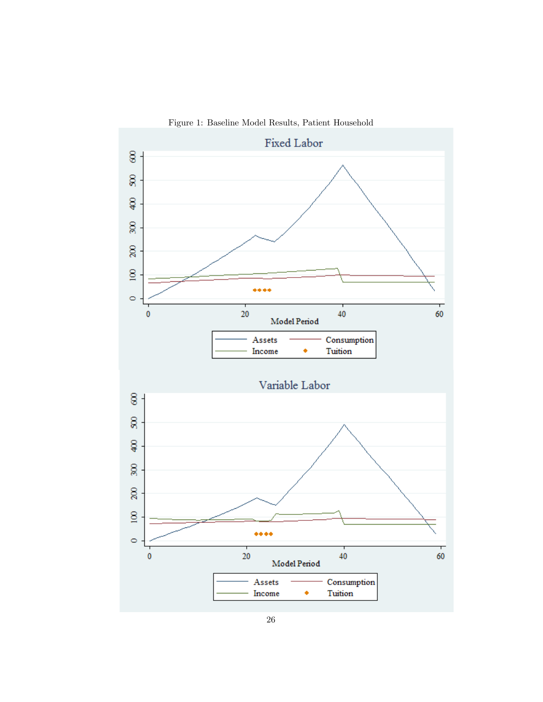Figure 1: Baseline Model Results, Patient Household

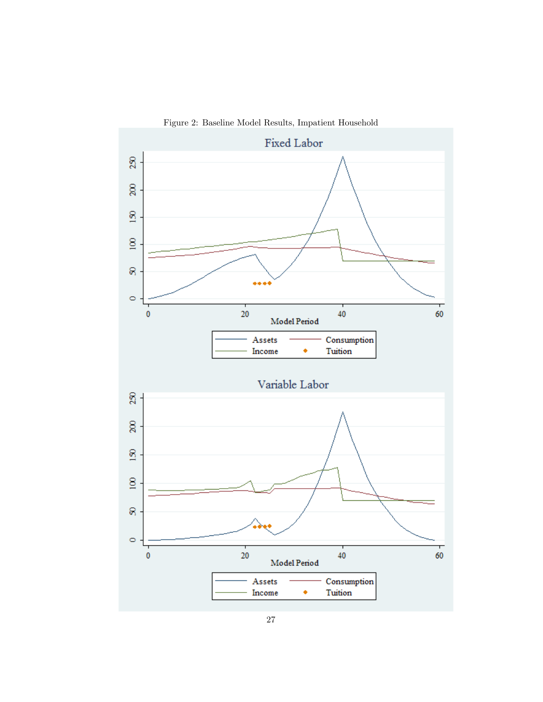Figure 2: Baseline Model Results, Impatient Household

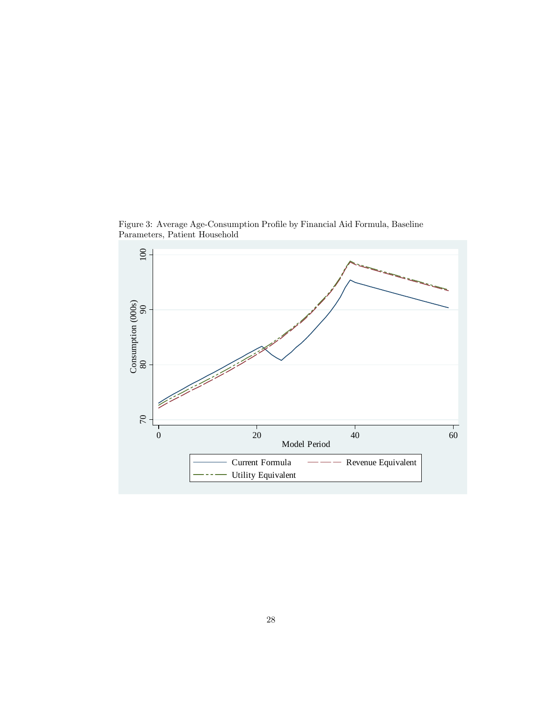Figure 3: Average Age-Consumption Profile by Financial Aid Formula, Baseline Parameters, Patient Household

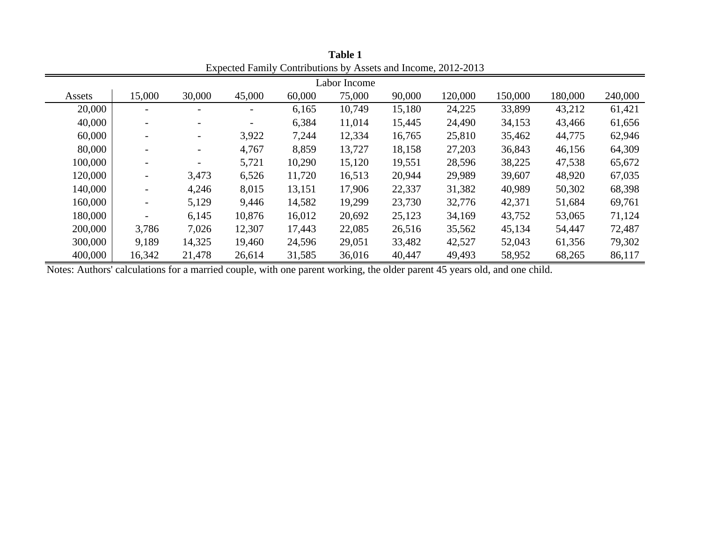| <u>Lupovco</u><br>$\sigma$ , those $\sigma$ |                          |                          |        |        |        |        |         |         |         |         |  |
|---------------------------------------------|--------------------------|--------------------------|--------|--------|--------|--------|---------|---------|---------|---------|--|
| Labor Income                                |                          |                          |        |        |        |        |         |         |         |         |  |
| Assets                                      | 15,000                   | 30,000                   | 45,000 | 60,000 | 75,000 | 90,000 | 120,000 | 150,000 | 180,000 | 240,000 |  |
| 20,000                                      |                          |                          |        | 6,165  | 10,749 | 15,180 | 24,225  | 33,899  | 43,212  | 61,421  |  |
| 40,000                                      |                          | $\overline{\phantom{a}}$ |        | 6,384  | 11,014 | 15,445 | 24,490  | 34,153  | 43,466  | 61,656  |  |
| 60,000                                      |                          | $\overline{\phantom{0}}$ | 3,922  | 7,244  | 12,334 | 16,765 | 25,810  | 35,462  | 44,775  | 62,946  |  |
| 80,000                                      |                          | $\overline{\phantom{0}}$ | 4,767  | 8,859  | 13,727 | 18,158 | 27,203  | 36,843  | 46,156  | 64,309  |  |
| 100,000                                     |                          |                          | 5,721  | 10,290 | 15,120 | 19,551 | 28,596  | 38,225  | 47,538  | 65,672  |  |
| 120,000                                     | $\overline{\phantom{a}}$ | 3,473                    | 6,526  | 11,720 | 16,513 | 20,944 | 29,989  | 39,607  | 48,920  | 67,035  |  |
| 140,000                                     | $\overline{\phantom{0}}$ | 4,246                    | 8,015  | 13,151 | 17,906 | 22,337 | 31,382  | 40,989  | 50,302  | 68,398  |  |
| 160,000                                     |                          | 5,129                    | 9,446  | 14,582 | 19,299 | 23,730 | 32,776  | 42,371  | 51,684  | 69,761  |  |
| 180,000                                     |                          | 6,145                    | 10,876 | 16,012 | 20,692 | 25,123 | 34,169  | 43,752  | 53,065  | 71,124  |  |
| 200,000                                     | 3,786                    | 7,026                    | 12,307 | 17,443 | 22,085 | 26,516 | 35,562  | 45,134  | 54,447  | 72,487  |  |
| 300,000                                     | 9,189                    | 14,325                   | 19,460 | 24,596 | 29,051 | 33,482 | 42,527  | 52,043  | 61,356  | 79,302  |  |
| 400,000                                     | 16,342                   | 21,478                   | 26,614 | 31,585 | 36,016 | 40,447 | 49,493  | 58,952  | 68,265  | 86,117  |  |

**Table 1** Expected Family Contributions by Assets and Income, 2012-2013

Notes: Authors' calculations for a married couple, with one parent working, the older parent 45 years old, and one child.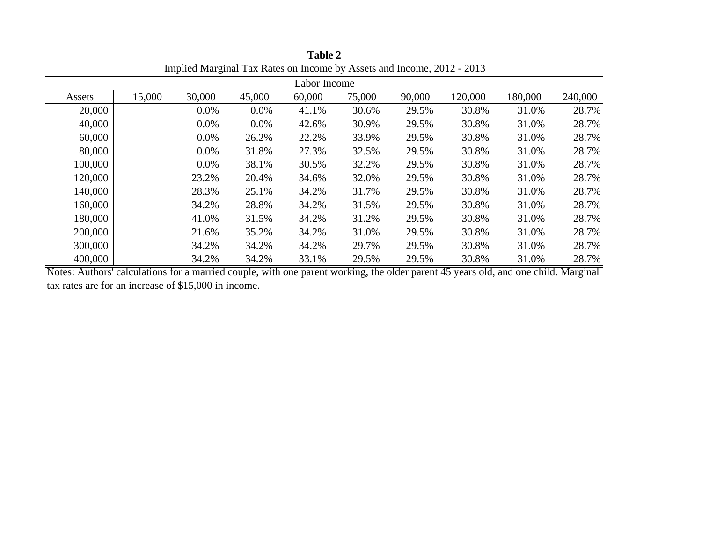| Implied Marginar Tax Kates on meonie by Tissets and meonie, 2012<br>$\sim$ 0 1 $\sim$ |        |         |         |        |        |        |         |         |         |  |
|---------------------------------------------------------------------------------------|--------|---------|---------|--------|--------|--------|---------|---------|---------|--|
| Labor Income                                                                          |        |         |         |        |        |        |         |         |         |  |
| Assets                                                                                | 15,000 | 30,000  | 45,000  | 60,000 | 75,000 | 90,000 | 120,000 | 180,000 | 240,000 |  |
| 20,000                                                                                |        | $0.0\%$ | 0.0%    | 41.1%  | 30.6%  | 29.5%  | 30.8%   | 31.0%   | 28.7%   |  |
| 40,000                                                                                |        | $0.0\%$ | $0.0\%$ | 42.6%  | 30.9%  | 29.5%  | 30.8%   | 31.0%   | 28.7%   |  |
| 60,000                                                                                |        | $0.0\%$ | 26.2%   | 22.2%  | 33.9%  | 29.5%  | 30.8%   | 31.0%   | 28.7%   |  |
| 80,000                                                                                |        | $0.0\%$ | 31.8%   | 27.3%  | 32.5%  | 29.5%  | 30.8%   | 31.0%   | 28.7%   |  |
| 100,000                                                                               |        | $0.0\%$ | 38.1%   | 30.5%  | 32.2%  | 29.5%  | 30.8%   | 31.0%   | 28.7%   |  |
| 120,000                                                                               |        | 23.2%   | 20.4%   | 34.6%  | 32.0%  | 29.5%  | 30.8%   | 31.0%   | 28.7%   |  |
| 140,000                                                                               |        | 28.3%   | 25.1%   | 34.2%  | 31.7%  | 29.5%  | 30.8%   | 31.0%   | 28.7%   |  |
| 160,000                                                                               |        | 34.2%   | 28.8%   | 34.2%  | 31.5%  | 29.5%  | 30.8%   | 31.0%   | 28.7%   |  |
| 180,000                                                                               |        | 41.0%   | 31.5%   | 34.2%  | 31.2%  | 29.5%  | 30.8%   | 31.0%   | 28.7%   |  |
| 200,000                                                                               |        | 21.6%   | 35.2%   | 34.2%  | 31.0%  | 29.5%  | 30.8%   | 31.0%   | 28.7%   |  |
| 300,000                                                                               |        | 34.2%   | 34.2%   | 34.2%  | 29.7%  | 29.5%  | 30.8%   | 31.0%   | 28.7%   |  |
| 400,000                                                                               |        | 34.2%   | 34.2%   | 33.1%  | 29.5%  | 29.5%  | 30.8%   | 31.0%   | 28.7%   |  |

**Table 2** Implied Marginal Tax Rates on Income by Assets and Income, 2012 - 2013

Notes: Authors' calculations for a married couple, with one parent working, the older parent 45 years old, and one child. Marginal tax rates are for an increase of \$15,000 in income.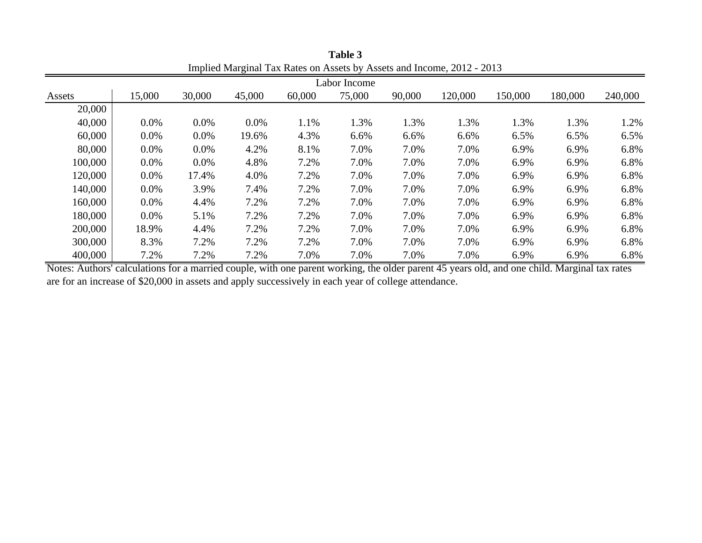| Implied Marginar Tax Rates on Assets by Assets and Income, 2012 - 2013 |         |         |        |        |        |        |         |         |         |         |  |
|------------------------------------------------------------------------|---------|---------|--------|--------|--------|--------|---------|---------|---------|---------|--|
| Labor Income                                                           |         |         |        |        |        |        |         |         |         |         |  |
| Assets                                                                 | 15,000  | 30,000  | 45,000 | 60,000 | 75,000 | 90,000 | 120,000 | 150,000 | 180,000 | 240,000 |  |
| 20,000                                                                 |         |         |        |        |        |        |         |         |         |         |  |
| 40,000                                                                 | $0.0\%$ | $0.0\%$ | 0.0%   | 1.1%   | 1.3%   | 1.3%   | 1.3%    | 1.3%    | 1.3%    | 1.2%    |  |
| 60,000                                                                 | $0.0\%$ | $0.0\%$ | 19.6%  | 4.3%   | 6.6%   | 6.6%   | 6.6%    | 6.5%    | 6.5%    | 6.5%    |  |
| 80,000                                                                 | $0.0\%$ | $0.0\%$ | 4.2%   | 8.1%   | 7.0%   | 7.0%   | 7.0%    | 6.9%    | 6.9%    | 6.8%    |  |
| 100,000                                                                | $0.0\%$ | $0.0\%$ | 4.8%   | 7.2%   | 7.0%   | 7.0%   | 7.0%    | 6.9%    | 6.9%    | 6.8%    |  |
| 120,000                                                                | $0.0\%$ | 17.4%   | 4.0%   | 7.2%   | 7.0%   | 7.0%   | 7.0%    | 6.9%    | 6.9%    | 6.8%    |  |
| 140,000                                                                | $0.0\%$ | 3.9%    | 7.4%   | 7.2%   | 7.0%   | 7.0%   | 7.0%    | 6.9%    | 6.9%    | 6.8%    |  |
| 160,000                                                                | $0.0\%$ | 4.4%    | 7.2%   | 7.2%   | 7.0%   | 7.0%   | 7.0%    | 6.9%    | 6.9%    | 6.8%    |  |
| 180,000                                                                | $0.0\%$ | 5.1%    | 7.2%   | 7.2%   | 7.0%   | 7.0%   | 7.0%    | 6.9%    | 6.9%    | 6.8%    |  |
| 200,000                                                                | 18.9%   | 4.4%    | 7.2%   | 7.2%   | 7.0%   | 7.0%   | 7.0%    | 6.9%    | 6.9%    | 6.8%    |  |
| 300,000                                                                | 8.3%    | 7.2%    | 7.2%   | 7.2%   | 7.0%   | 7.0%   | 7.0%    | 6.9%    | 6.9%    | 6.8%    |  |
| 400,000                                                                | 7.2%    | 7.2%    | 7.2%   | 7.0%   | 7.0%   | 7.0%   | 7.0%    | 6.9%    | 6.9%    | 6.8%    |  |

**Table 3** Implied Marginal Tax Rates on Assets by Assets and Income, 2012 - 2013

Notes: Authors' calculations for a married couple, with one parent working, the older parent 45 years old, and one child. Marginal tax rates are for an increase of \$20,000 in assets and apply successively in each year of college attendance.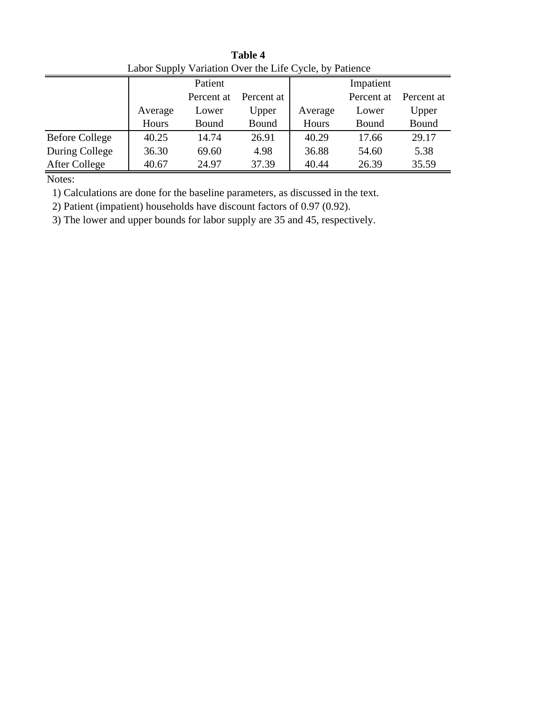| Labor Supply Variation Over the Life Cycle, by Patience |         |            |            |           |            |            |  |  |  |  |  |
|---------------------------------------------------------|---------|------------|------------|-----------|------------|------------|--|--|--|--|--|
|                                                         |         | Patient    |            | Impatient |            |            |  |  |  |  |  |
|                                                         |         | Percent at | Percent at |           | Percent at | Percent at |  |  |  |  |  |
|                                                         | Average | Lower      | Upper      | Average   | Lower      | Upper      |  |  |  |  |  |
|                                                         | Hours   | Bound      | Bound      | Hours     | Bound      | Bound      |  |  |  |  |  |
| <b>Before College</b>                                   | 40.25   | 14.74      | 26.91      | 40.29     | 17.66      | 29.17      |  |  |  |  |  |
| During College                                          | 36.30   | 69.60      | 4.98       | 36.88     | 54.60      | 5.38       |  |  |  |  |  |
| After College                                           | 40.67   | 24.97      | 37.39      | 40.44     | 26.39      | 35.59      |  |  |  |  |  |

**Table 4** Labor Supply Variation Over the Life Cycle, by Patience

1) Calculations are done for the baseline parameters, as discussed in the text.

2) Patient (impatient) households have discount factors of 0.97 (0.92).

3) The lower and upper bounds for labor supply are 35 and 45, respectively.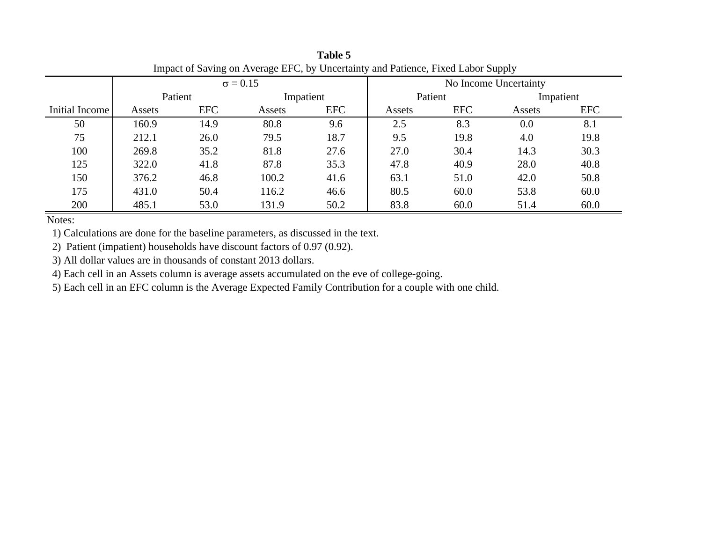| Impact of Saving on Average EFC, by Uncertainty and Patience, Fixed Labor Supply |         |            |                 |            |         |                       |           |            |  |  |
|----------------------------------------------------------------------------------|---------|------------|-----------------|------------|---------|-----------------------|-----------|------------|--|--|
|                                                                                  |         |            | $\sigma = 0.15$ |            |         | No Income Uncertainty |           |            |  |  |
|                                                                                  | Patient |            |                 | Impatient  | Patient |                       | Impatient |            |  |  |
| Initial Income                                                                   | Assets  | <b>EFC</b> | Assets          | <b>EFC</b> | Assets  | <b>EFC</b>            | Assets    | <b>EFC</b> |  |  |
| 50                                                                               | 160.9   | 14.9       | 80.8            | 9.6        | 2.5     | 8.3                   | 0.0       | 8.1        |  |  |
| 75                                                                               | 212.1   | 26.0       | 79.5            | 18.7       | 9.5     | 19.8                  | 4.0       | 19.8       |  |  |
| 100                                                                              | 269.8   | 35.2       | 81.8            | 27.6       | 27.0    | 30.4                  | 14.3      | 30.3       |  |  |
| 125                                                                              | 322.0   | 41.8       | 87.8            | 35.3       | 47.8    | 40.9                  | 28.0      | 40.8       |  |  |
| 150                                                                              | 376.2   | 46.8       | 100.2           | 41.6       | 63.1    | 51.0                  | 42.0      | 50.8       |  |  |
| 175                                                                              | 431.0   | 50.4       | 116.2           | 46.6       | 80.5    | 60.0                  | 53.8      | 60.0       |  |  |
| 200                                                                              | 485.1   | 53.0       | 131.9           | 50.2       | 83.8    | 60.0                  | 51.4      | 60.0       |  |  |

**Table 5**

1) Calculations are done for the baseline parameters, as discussed in the text.

2) Patient (impatient) households have discount factors of 0.97 (0.92).

3) All dollar values are in thousands of constant 2013 dollars.

4) Each cell in an Assets column is average assets accumulated on the eve of college-going.

5) Each cell in an EFC column is the Average Expected Family Contribution for a couple with one child.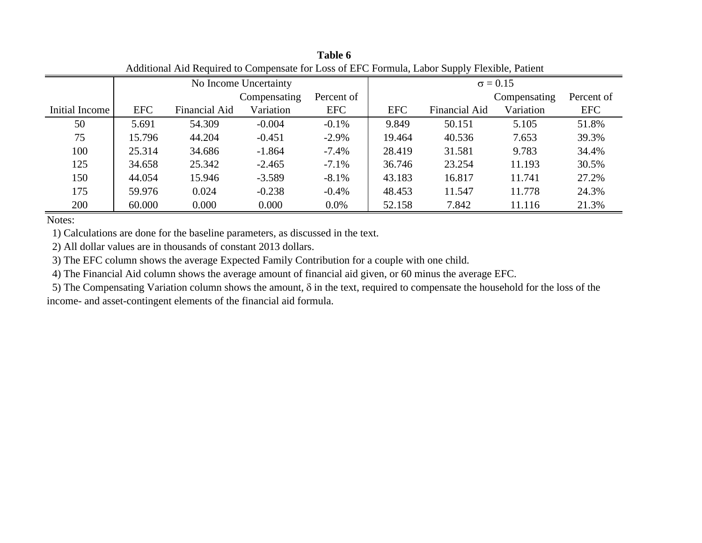| Additional Aid Required to Compensate for Loss of EFC Formula, Labor Supply Flexible, Patient |            |               |                       |            |                 |               |              |            |  |  |
|-----------------------------------------------------------------------------------------------|------------|---------------|-----------------------|------------|-----------------|---------------|--------------|------------|--|--|
|                                                                                               |            |               | No Income Uncertainty |            | $\sigma = 0.15$ |               |              |            |  |  |
|                                                                                               |            |               | Compensating          | Percent of |                 |               | Compensating | Percent of |  |  |
| Initial Income                                                                                | <b>EFC</b> | Financial Aid | Variation             | <b>EFC</b> | <b>EFC</b>      | Financial Aid | Variation    | <b>EFC</b> |  |  |
| 50                                                                                            | 5.691      | 54.309        | $-0.004$              | $-0.1\%$   | 9.849           | 50.151        | 5.105        | 51.8%      |  |  |
| 75                                                                                            | 15.796     | 44.204        | $-0.451$              | $-2.9\%$   | 19.464          | 40.536        | 7.653        | 39.3%      |  |  |
| 100                                                                                           | 25.314     | 34.686        | $-1.864$              | $-7.4\%$   | 28.419          | 31.581        | 9.783        | 34.4%      |  |  |
| 125                                                                                           | 34.658     | 25.342        | $-2.465$              | $-7.1\%$   | 36.746          | 23.254        | 11.193       | 30.5%      |  |  |
| 150                                                                                           | 44.054     | 15.946        | $-3.589$              | $-8.1\%$   | 43.183          | 16.817        | 11.741       | 27.2%      |  |  |
| 175                                                                                           | 59.976     | 0.024         | $-0.238$              | $-0.4%$    | 48.453          | 11.547        | 11.778       | 24.3%      |  |  |
| 200                                                                                           | 60.000     | 0.000         | 0.000                 | $0.0\%$    | 52.158          | 7.842         | 11.116       | 21.3%      |  |  |

**Table 6**

1) Calculations are done for the baseline parameters, as discussed in the text.

2) All dollar values are in thousands of constant 2013 dollars.

3) The EFC column shows the average Expected Family Contribution for a couple with one child.

4) The Financial Aid column shows the average amount of financial aid given, or 60 minus the average EFC.

5) The Compensating Variation column shows the amount,  $\delta$  in the text, required to compensate the household for the loss of the income- and asset-contingent elements of the financial aid formula.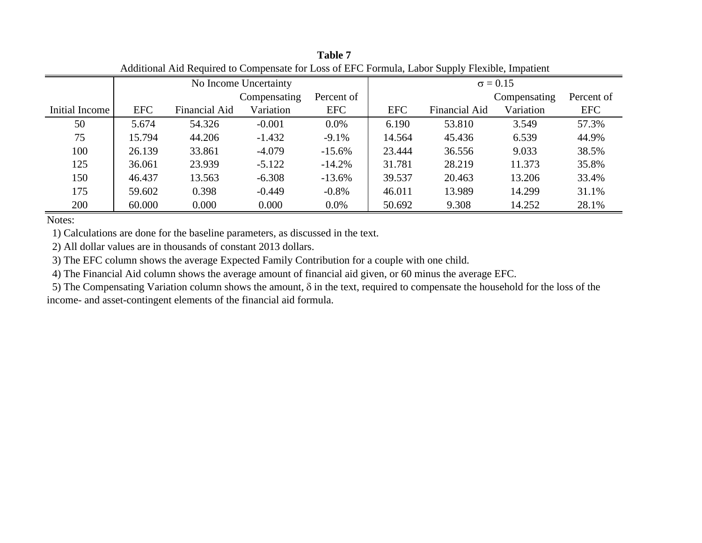| Additional Aid Required to Compensate for Loss of EFC Formula, Labor Supply Flexible, Impatient |            |               |                       |            |                 |               |              |            |  |  |
|-------------------------------------------------------------------------------------------------|------------|---------------|-----------------------|------------|-----------------|---------------|--------------|------------|--|--|
|                                                                                                 |            |               | No Income Uncertainty |            | $\sigma = 0.15$ |               |              |            |  |  |
|                                                                                                 |            |               | Compensating          | Percent of |                 |               | Compensating | Percent of |  |  |
| Initial Income                                                                                  | <b>EFC</b> | Financial Aid | Variation             | <b>EFC</b> | <b>EFC</b>      | Financial Aid | Variation    | <b>EFC</b> |  |  |
| 50                                                                                              | 5.674      | 54.326        | $-0.001$              | $0.0\%$    | 6.190           | 53.810        | 3.549        | 57.3%      |  |  |
| 75                                                                                              | 15.794     | 44.206        | $-1.432$              | $-9.1\%$   | 14.564          | 45.436        | 6.539        | 44.9%      |  |  |
| 100                                                                                             | 26.139     | 33.861        | $-4.079$              | $-15.6%$   | 23.444          | 36.556        | 9.033        | 38.5%      |  |  |
| 125                                                                                             | 36.061     | 23.939        | $-5.122$              | $-14.2%$   | 31.781          | 28.219        | 11.373       | 35.8%      |  |  |
| 150                                                                                             | 46.437     | 13.563        | $-6.308$              | $-13.6%$   | 39.537          | 20.463        | 13.206       | 33.4%      |  |  |
| 175                                                                                             | 59.602     | 0.398         | $-0.449$              | $-0.8\%$   | 46.011          | 13.989        | 14.299       | 31.1%      |  |  |
| 200                                                                                             | 60.000     | 0.000         | 0.000                 | $0.0\%$    | 50.692          | 9.308         | 14.252       | 28.1%      |  |  |

**Table 7**

1) Calculations are done for the baseline parameters, as discussed in the text.

2) All dollar values are in thousands of constant 2013 dollars.

3) The EFC column shows the average Expected Family Contribution for a couple with one child.

4) The Financial Aid column shows the average amount of financial aid given, or 60 minus the average EFC.

5) The Compensating Variation column shows the amount,  $\delta$  in the text, required to compensate the household for the loss of the income- and asset-contingent elements of the financial aid formula.